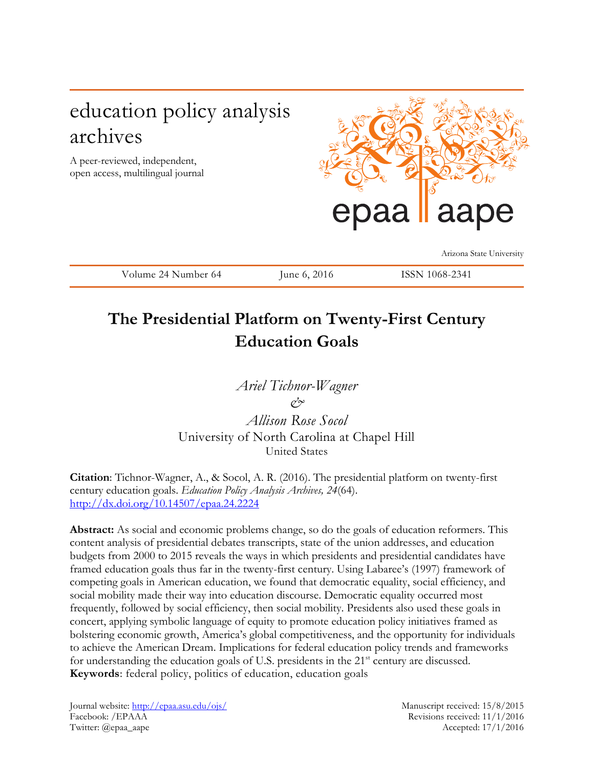# education policy analysis archives

A peer-reviewed, independent, open access, multilingual journal



Arizona State University

Volume 24 Number 64 June 6, 2016 ISSN 1068-2341

# **The Presidential Platform on Twenty-First Century Education Goals**

*Ariel Tichnor-Wagner & Allison Rose Socol* 

University of North Carolina at Chapel Hill United States

**Citation**: Tichnor-Wagner, A., & Socol, A. R. (2016). The presidential platform on twenty-first century education goals. *Education Policy Analysis Archives, 24*(64). <http://dx.doi.org/10.14507/epaa.24.2224>

**Abstract:** As social and economic problems change, so do the goals of education reformers. This content analysis of presidential debates transcripts, state of the union addresses, and education budgets from 2000 to 2015 reveals the ways in which presidents and presidential candidates have framed education goals thus far in the twenty-first century. Using Labaree's (1997) framework of competing goals in American education, we found that democratic equality, social efficiency, and social mobility made their way into education discourse. Democratic equality occurred most frequently, followed by social efficiency, then social mobility. Presidents also used these goals in concert, applying symbolic language of equity to promote education policy initiatives framed as bolstering economic growth, America's global competitiveness, and the opportunity for individuals to achieve the American Dream. Implications for federal education policy trends and frameworks for understanding the education goals of U.S. presidents in the 21<sup>st</sup> century are discussed. **Keywords**: federal policy, politics of education, education goals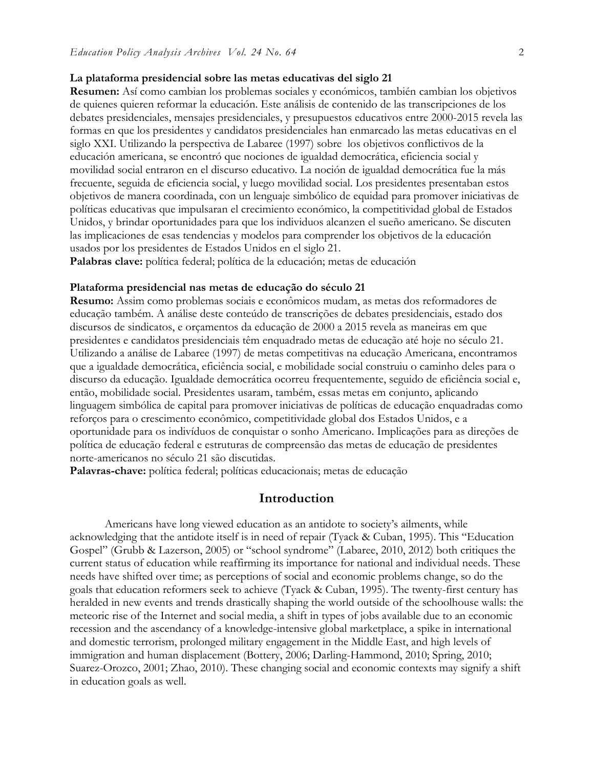### **La plataforma presidencial sobre las metas educativas del siglo 21**

**Resumen:** Así como cambian los problemas sociales y económicos, también cambian los objetivos de quienes quieren reformar la educación. Este análisis de contenido de las transcripciones de los debates presidenciales, mensajes presidenciales, y presupuestos educativos entre 2000-2015 revela las formas en que los presidentes y candidatos presidenciales han enmarcado las metas educativas en el siglo XXI. Utilizando la perspectiva de Labaree (1997) sobre los objetivos conflictivos de la educación americana, se encontró que nociones de igualdad democrática, eficiencia social y movilidad social entraron en el discurso educativo. La noción de igualdad democrática fue la más frecuente, seguida de eficiencia social, y luego movilidad social. Los presidentes presentaban estos objetivos de manera coordinada, con un lenguaje simbólico de equidad para promover iniciativas de políticas educativas que impulsaran el crecimiento económico, la competitividad global de Estados Unidos, y brindar oportunidades para que los individuos alcanzen el sueño americano. Se discuten las implicaciones de esas tendencias y modelos para comprender los objetivos de la educación usados por los presidentes de Estados Unidos en el siglo 21.

**Palabras clave:** política federal; política de la educación; metas de educación

## **Plataforma presidencial nas metas de educação do século 21**

**Resumo:** Assim como problemas sociais e econômicos mudam, as metas dos reformadores de educação também. A análise deste conteúdo de transcrições de debates presidenciais, estado dos discursos de sindicatos, e orçamentos da educação de 2000 a 2015 revela as maneiras em que presidentes e candidatos presidenciais têm enquadrado metas de educação até hoje no século 21. Utilizando a análise de Labaree (1997) de metas competitivas na educação Americana, encontramos que a igualdade democrática, eficiência social, e mobilidade social construiu o caminho deles para o discurso da educação. Igualdade democrática ocorreu frequentemente, seguido de eficiência social e, então, mobilidade social. Presidentes usaram, também, essas metas em conjunto, aplicando linguagem simbólica de capital para promover iniciativas de políticas de educação enquadradas como reforços para o crescimento econômico, competitividade global dos Estados Unidos, e a oportunidade para os indivíduos de conquistar o sonho Americano. Implicações para as direções de política de educação federal e estruturas de compreensão das metas de educação de presidentes norte-americanos no século 21 são discutidas.

**Palavras-chave:** política federal; políticas educacionais; metas de educação

## **Introduction**

Americans have long viewed education as an antidote to society's ailments, while acknowledging that the antidote itself is in need of repair (Tyack & Cuban, 1995). This "Education Gospel" (Grubb & Lazerson, 2005) or "school syndrome" (Labaree, 2010, 2012) both critiques the current status of education while reaffirming its importance for national and individual needs. These needs have shifted over time; as perceptions of social and economic problems change, so do the goals that education reformers seek to achieve (Tyack & Cuban, 1995). The twenty-first century has heralded in new events and trends drastically shaping the world outside of the schoolhouse walls: the meteoric rise of the Internet and social media, a shift in types of jobs available due to an economic recession and the ascendancy of a knowledge-intensive global marketplace, a spike in international and domestic terrorism, prolonged military engagement in the Middle East, and high levels of immigration and human displacement (Bottery, 2006; Darling-Hammond, 2010; Spring, 2010; Suarez-Orozco, 2001; Zhao, 2010). These changing social and economic contexts may signify a shift in education goals as well.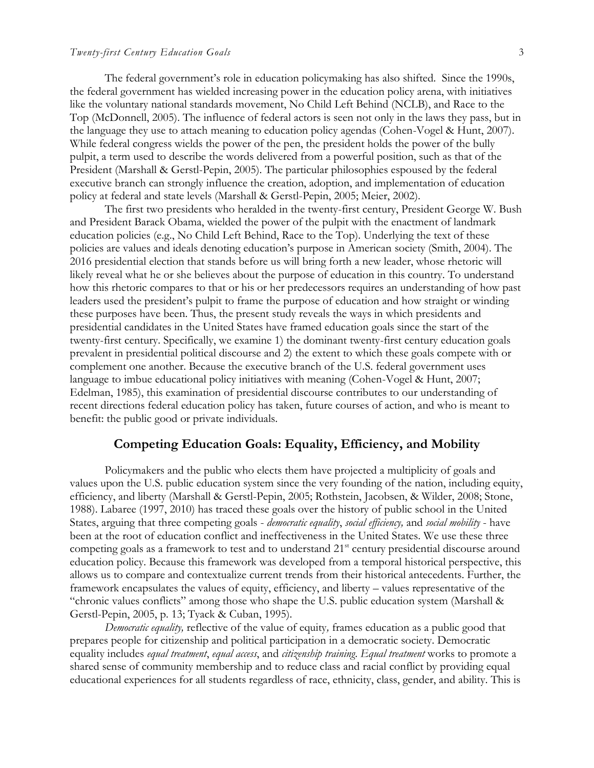The federal government's role in education policymaking has also shifted. Since the 1990s, the federal government has wielded increasing power in the education policy arena, with initiatives like the voluntary national standards movement, No Child Left Behind (NCLB), and Race to the Top (McDonnell, 2005). The influence of federal actors is seen not only in the laws they pass, but in the language they use to attach meaning to education policy agendas (Cohen-Vogel & Hunt, 2007). While federal congress wields the power of the pen, the president holds the power of the bully pulpit, a term used to describe the words delivered from a powerful position, such as that of the President (Marshall & Gerstl-Pepin, 2005). The particular philosophies espoused by the federal executive branch can strongly influence the creation, adoption, and implementation of education policy at federal and state levels (Marshall & Gerstl-Pepin, 2005; Meier, 2002).

The first two presidents who heralded in the twenty-first century, President George W. Bush and President Barack Obama, wielded the power of the pulpit with the enactment of landmark education policies (e.g., No Child Left Behind, Race to the Top). Underlying the text of these policies are values and ideals denoting education's purpose in American society (Smith, 2004). The 2016 presidential election that stands before us will bring forth a new leader, whose rhetoric will likely reveal what he or she believes about the purpose of education in this country. To understand how this rhetoric compares to that or his or her predecessors requires an understanding of how past leaders used the president's pulpit to frame the purpose of education and how straight or winding these purposes have been. Thus, the present study reveals the ways in which presidents and presidential candidates in the United States have framed education goals since the start of the twenty-first century. Specifically, we examine 1) the dominant twenty-first century education goals prevalent in presidential political discourse and 2) the extent to which these goals compete with or complement one another. Because the executive branch of the U.S. federal government uses language to imbue educational policy initiatives with meaning (Cohen-Vogel & Hunt, 2007; Edelman, 1985), this examination of presidential discourse contributes to our understanding of recent directions federal education policy has taken, future courses of action, and who is meant to benefit: the public good or private individuals.

## **Competing Education Goals: Equality, Efficiency, and Mobility**

Policymakers and the public who elects them have projected a multiplicity of goals and values upon the U.S. public education system since the very founding of the nation, including equity, efficiency, and liberty (Marshall & Gerstl-Pepin, 2005; Rothstein, Jacobsen, & Wilder, 2008; Stone, 1988). Labaree (1997, 2010) has traced these goals over the history of public school in the United States, arguing that three competing goals - *democratic equality*, *social efficiency,* and *social mobility* - have been at the root of education conflict and ineffectiveness in the United States. We use these three competing goals as a framework to test and to understand  $21<sup>st</sup>$  century presidential discourse around education policy. Because this framework was developed from a temporal historical perspective, this allows us to compare and contextualize current trends from their historical antecedents. Further, the framework encapsulates the values of equity, efficiency, and liberty – values representative of the "chronic values conflicts" among those who shape the U.S. public education system (Marshall & Gerstl-Pepin, 2005, p. 13; Tyack & Cuban, 1995).

*Democratic equality,* reflective of the value of equity*,* frames education as a public good that prepares people for citizenship and political participation in a democratic society. Democratic equality includes *equal treatment*, *equal access*, and *citizenship training*. *Equal treatment* works to promote a shared sense of community membership and to reduce class and racial conflict by providing equal educational experiences for all students regardless of race, ethnicity, class, gender, and ability. This is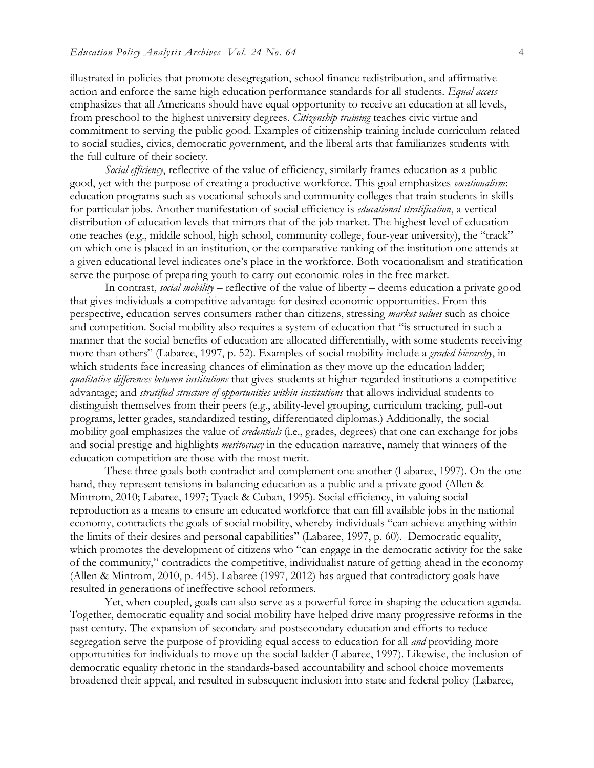illustrated in policies that promote desegregation, school finance redistribution, and affirmative action and enforce the same high education performance standards for all students. *Equal access* emphasizes that all Americans should have equal opportunity to receive an education at all levels, from preschool to the highest university degrees. *Citizenship training* teaches civic virtue and commitment to serving the public good. Examples of citizenship training include curriculum related to social studies, civics, democratic government, and the liberal arts that familiarizes students with the full culture of their society.

*Social efficiency*, reflective of the value of efficiency, similarly frames education as a public good, yet with the purpose of creating a productive workforce. This goal emphasizes *vocationalism*: education programs such as vocational schools and community colleges that train students in skills for particular jobs. Another manifestation of social efficiency is *educational stratification*, a vertical distribution of education levels that mirrors that of the job market. The highest level of education one reaches (e.g., middle school, high school, community college, four-year university), the "track" on which one is placed in an institution, or the comparative ranking of the institution one attends at a given educational level indicates one's place in the workforce. Both vocationalism and stratification serve the purpose of preparing youth to carry out economic roles in the free market.

In contrast, *social mobility* – reflective of the value of liberty – deems education a private good that gives individuals a competitive advantage for desired economic opportunities. From this perspective, education serves consumers rather than citizens, stressing *market values* such as choice and competition. Social mobility also requires a system of education that "is structured in such a manner that the social benefits of education are allocated differentially, with some students receiving more than others" (Labaree, 1997, p. 52). Examples of social mobility include a *graded hierarchy*, in which students face increasing chances of elimination as they move up the education ladder; *qualitative differences between institutions* that gives students at higher-regarded institutions a competitive advantage; and *stratified structure of opportunities within institutions* that allows individual students to distinguish themselves from their peers (e.g., ability-level grouping, curriculum tracking, pull-out programs, letter grades, standardized testing, differentiated diplomas.) Additionally, the social mobility goal emphasizes the value of *credentials* (i.e., grades, degrees) that one can exchange for jobs and social prestige and highlights *meritocracy* in the education narrative, namely that winners of the education competition are those with the most merit.

These three goals both contradict and complement one another (Labaree, 1997). On the one hand, they represent tensions in balancing education as a public and a private good (Allen & Mintrom, 2010; Labaree, 1997; Tyack & Cuban, 1995). Social efficiency, in valuing social reproduction as a means to ensure an educated workforce that can fill available jobs in the national economy, contradicts the goals of social mobility, whereby individuals "can achieve anything within the limits of their desires and personal capabilities" (Labaree, 1997, p. 60). Democratic equality, which promotes the development of citizens who "can engage in the democratic activity for the sake of the community," contradicts the competitive, individualist nature of getting ahead in the economy (Allen & Mintrom, 2010, p. 445). Labaree (1997, 2012) has argued that contradictory goals have resulted in generations of ineffective school reformers.

Yet, when coupled, goals can also serve as a powerful force in shaping the education agenda. Together, democratic equality and social mobility have helped drive many progressive reforms in the past century. The expansion of secondary and postsecondary education and efforts to reduce segregation serve the purpose of providing equal access to education for all *and* providing more opportunities for individuals to move up the social ladder (Labaree, 1997). Likewise, the inclusion of democratic equality rhetoric in the standards-based accountability and school choice movements broadened their appeal, and resulted in subsequent inclusion into state and federal policy (Labaree,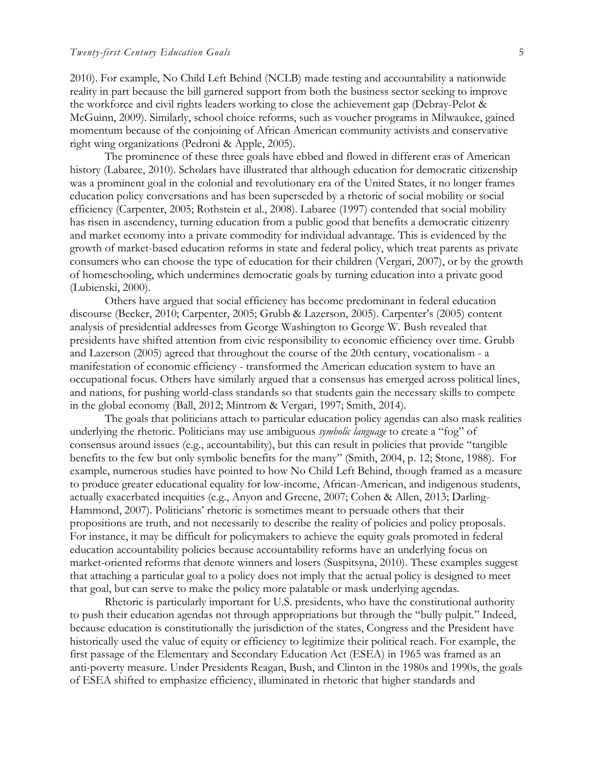2010). For example, No Child Left Behind (NCLB) made testing and accountability a nationwide reality in part because the bill garnered support from both the business sector seeking to improve the workforce and civil rights leaders working to close the achievement gap (Debray-Pelot & McGuinn, 2009). Similarly, school choice reforms, such as voucher programs in Milwaukee, gained momentum because of the conjoining of African American community activists and conservative right wing organizations (Pedroni & Apple, 2005).

The prominence of these three goals have ebbed and flowed in different eras of American history (Labaree, 2010). Scholars have illustrated that although education for democratic citizenship was a prominent goal in the colonial and revolutionary era of the United States, it no longer frames education policy conversations and has been superseded by a rhetoric of social mobility or social efficiency (Carpenter, 2005; Rothstein et al., 2008). Labaree (1997) contended that social mobility has risen in ascendency, turning education from a public good that benefits a democratic citizenry and market economy into a private commodity for individual advantage. This is evidenced by the growth of market-based education reforms in state and federal policy, which treat parents as private consumers who can choose the type of education for their children (Vergari, 2007), or by the growth of homeschooling, which undermines democratic goals by turning education into a private good (Lubienski, 2000).

Others have argued that social efficiency has become predominant in federal education discourse (Becker, 2010; Carpenter, 2005; Grubb & Lazerson, 2005). Carpenter's (2005) content analysis of presidential addresses from George Washington to George W. Bush revealed that presidents have shifted attention from civic responsibility to economic efficiency over time. Grubb and Lazerson (2005) agreed that throughout the course of the 20th century, vocationalism - a manifestation of economic efficiency - transformed the American education system to have an occupational focus. Others have similarly argued that a consensus has emerged across political lines, and nations, for pushing world-class standards so that students gain the necessary skills to compete in the global economy (Ball, 2012; Mintrom & Vergari, 1997; Smith, 2014).

The goals that politicians attach to particular education policy agendas can also mask realities underlying the rhetoric. Politicians may use ambiguous *symbolic language* to create a "fog" of consensus around issues (e.g., accountability), but this can result in policies that provide "tangible benefits to the few but only symbolic benefits for the many" (Smith, 2004, p. 12; Stone, 1988). For example, numerous studies have pointed to how No Child Left Behind, though framed as a measure to produce greater educational equality for low-income, African-American, and indigenous students, actually exacerbated inequities (e.g., Anyon and Greene, 2007; Cohen & Allen, 2013; Darling-Hammond, 2007). Politicians' rhetoric is sometimes meant to persuade others that their propositions are truth, and not necessarily to describe the reality of policies and policy proposals. For instance, it may be difficult for policymakers to achieve the equity goals promoted in federal education accountability policies because accountability reforms have an underlying focus on market-oriented reforms that denote winners and losers (Suspitsyna, 2010). These examples suggest that attaching a particular goal to a policy does not imply that the actual policy is designed to meet that goal, but can serve to make the policy more palatable or mask underlying agendas.

Rhetoric is particularly important for U.S. presidents, who have the constitutional authority to push their education agendas not through appropriations but through the "bully pulpit." Indeed, because education is constitutionally the jurisdiction of the states, Congress and the President have historically used the value of equity or efficiency to legitimize their political reach. For example, the first passage of the Elementary and Secondary Education Act (ESEA) in 1965 was framed as an anti-poverty measure. Under Presidents Reagan, Bush, and Clinton in the 1980s and 1990s, the goals of ESEA shifted to emphasize efficiency, illuminated in rhetoric that higher standards and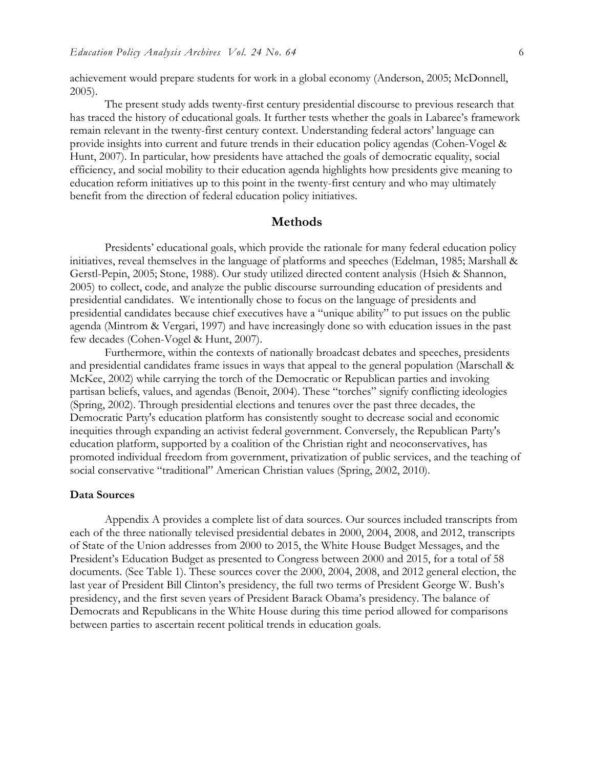achievement would prepare students for work in a global economy (Anderson, 2005; McDonnell, 2005).

The present study adds twenty-first century presidential discourse to previous research that has traced the history of educational goals. It further tests whether the goals in Labaree's framework remain relevant in the twenty-first century context. Understanding federal actors' language can provide insights into current and future trends in their education policy agendas (Cohen-Vogel & Hunt, 2007). In particular, how presidents have attached the goals of democratic equality, social efficiency, and social mobility to their education agenda highlights how presidents give meaning to education reform initiatives up to this point in the twenty-first century and who may ultimately benefit from the direction of federal education policy initiatives.

## **Methods**

Presidents' educational goals, which provide the rationale for many federal education policy initiatives, reveal themselves in the language of platforms and speeches (Edelman, 1985; Marshall & Gerstl-Pepin, 2005; Stone, 1988). Our study utilized directed content analysis (Hsieh & Shannon, 2005) to collect, code, and analyze the public discourse surrounding education of presidents and presidential candidates. We intentionally chose to focus on the language of presidents and presidential candidates because chief executives have a "unique ability" to put issues on the public agenda (Mintrom & Vergari, 1997) and have increasingly done so with education issues in the past few decades (Cohen-Vogel & Hunt, 2007).

Furthermore, within the contexts of nationally broadcast debates and speeches, presidents and presidential candidates frame issues in ways that appeal to the general population (Marschall & McKee, 2002) while carrying the torch of the Democratic or Republican parties and invoking partisan beliefs, values, and agendas (Benoit, 2004). These "torches" signify conflicting ideologies (Spring, 2002). Through presidential elections and tenures over the past three decades, the Democratic Party's education platform has consistently sought to decrease social and economic inequities through expanding an activist federal government. Conversely, the Republican Party's education platform, supported by a coalition of the Christian right and neoconservatives, has promoted individual freedom from government, privatization of public services, and the teaching of social conservative "traditional" American Christian values (Spring, 2002, 2010).

#### **Data Sources**

Appendix A provides a complete list of data sources. Our sources included transcripts from each of the three nationally televised presidential debates in 2000, 2004, 2008, and 2012, transcripts of State of the Union addresses from 2000 to 2015, the White House Budget Messages, and the President's Education Budget as presented to Congress between 2000 and 2015, for a total of 58 documents. (See Table 1). These sources cover the 2000, 2004, 2008, and 2012 general election, the last year of President Bill Clinton's presidency, the full two terms of President George W. Bush's presidency, and the first seven years of President Barack Obama's presidency. The balance of Democrats and Republicans in the White House during this time period allowed for comparisons between parties to ascertain recent political trends in education goals.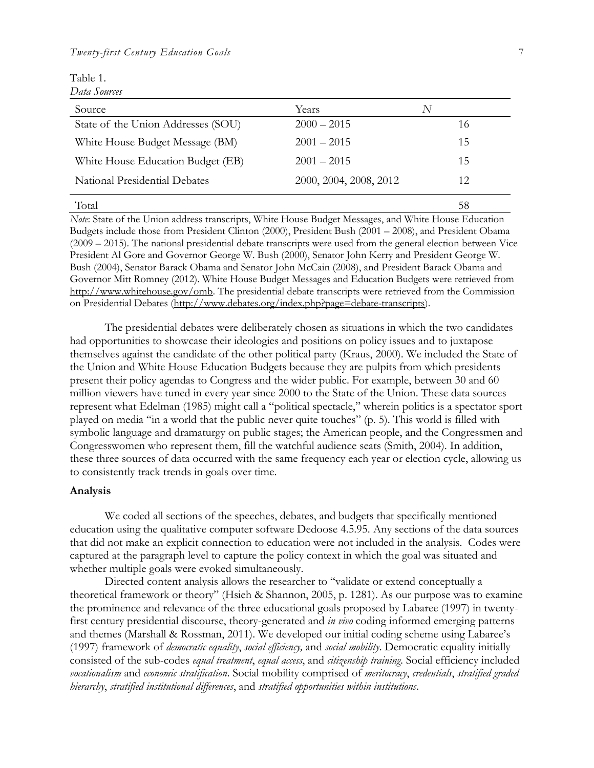| Table 1.     |
|--------------|
| Data Sources |

| Source                             | Years                  | N  |
|------------------------------------|------------------------|----|
| State of the Union Addresses (SOU) | $2000 - 2015$          | 16 |
| White House Budget Message (BM)    | $2001 - 2015$          | 15 |
| White House Education Budget (EB)  | $2001 - 2015$          | 15 |
| National Presidential Debates      | 2000, 2004, 2008, 2012 | 12 |
| Total                              |                        | 58 |

*Note*: State of the Union address transcripts, White House Budget Messages, and White House Education Budgets include those from President Clinton (2000), President Bush (2001 – 2008), and President Obama (2009 – 2015). The national presidential debate transcripts were used from the general election between Vice President Al Gore and Governor George W. Bush (2000), Senator John Kerry and President George W. Bush (2004), Senator Barack Obama and Senator John McCain (2008), and President Barack Obama and Governor Mitt Romney (2012). White House Budget Messages and Education Budgets were retrieved from [http://www.whitehouse.gov/omb.](http://www.whitehouse.gov/omb) The presidential debate transcripts were retrieved from the Commission on Presidential Debates [\(http://www.debates.org/index.php?page=debate-transcripts\)](http://www.debates.org/index.php?page=debate-transcripts).

The presidential debates were deliberately chosen as situations in which the two candidates had opportunities to showcase their ideologies and positions on policy issues and to juxtapose themselves against the candidate of the other political party (Kraus, 2000). We included the State of the Union and White House Education Budgets because they are pulpits from which presidents present their policy agendas to Congress and the wider public. For example, between 30 and 60 million viewers have tuned in every year since 2000 to the State of the Union. These data sources represent what Edelman (1985) might call a "political spectacle," wherein politics is a spectator sport played on media "in a world that the public never quite touches" (p. 5). This world is filled with symbolic language and dramaturgy on public stages; the American people, and the Congressmen and Congresswomen who represent them, fill the watchful audience seats (Smith, 2004). In addition, these three sources of data occurred with the same frequency each year or election cycle, allowing us to consistently track trends in goals over time.

## **Analysis**

We coded all sections of the speeches, debates, and budgets that specifically mentioned education using the qualitative computer software Dedoose 4.5.95. Any sections of the data sources that did not make an explicit connection to education were not included in the analysis. Codes were captured at the paragraph level to capture the policy context in which the goal was situated and whether multiple goals were evoked simultaneously.

Directed content analysis allows the researcher to "validate or extend conceptually a theoretical framework or theory" (Hsieh & Shannon, 2005, p. 1281). As our purpose was to examine the prominence and relevance of the three educational goals proposed by Labaree (1997) in twentyfirst century presidential discourse, theory-generated and *in vivo* coding informed emerging patterns and themes (Marshall & Rossman, 2011). We developed our initial coding scheme using Labaree's (1997) framework of *democratic equality*, *social efficiency,* and *social mobility*. Democratic equality initially consisted of the sub-codes *equal treatment*, *equal access*, and *citizenship training*. Social efficiency included *vocationalism* and *economic stratification*. Social mobility comprised of *meritocracy*, *credentials*, *stratified graded hierarchy*, *stratified institutional differences*, and *stratified opportunities within institutions*.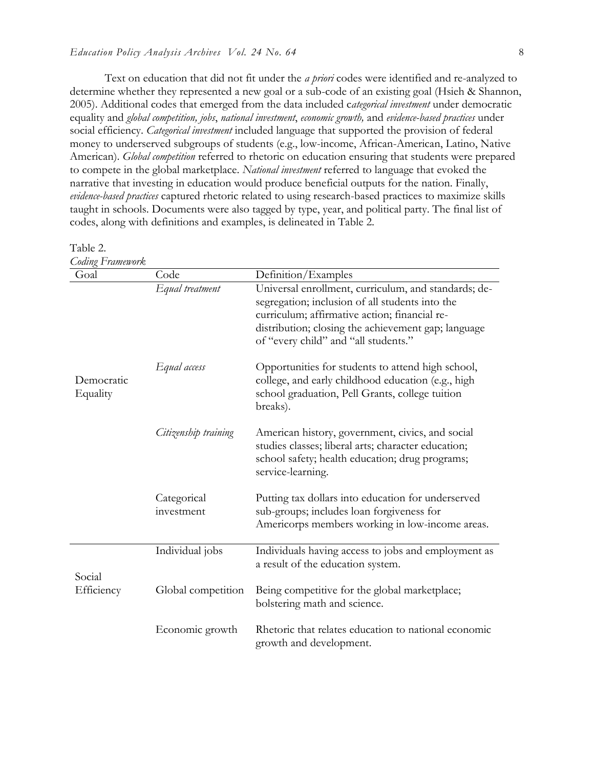Text on education that did not fit under the *a priori* codes were identified and re-analyzed to determine whether they represented a new goal or a sub-code of an existing goal (Hsieh & Shannon, 2005). Additional codes that emerged from the data included c*ategorical investment* under democratic equality and *global competition, jobs*, *national investment*, *economic growth,* and *evidence-based practices* under social efficiency. *Categorical investment* included language that supported the provision of federal money to underserved subgroups of students (e.g., low-income, African-American, Latino, Native American). *Global competition* referred to rhetoric on education ensuring that students were prepared to compete in the global marketplace. *National investment* referred to language that evoked the narrative that investing in education would produce beneficial outputs for the nation. Finally, *evidence-based practices* captured rhetoric related to using research-based practices to maximize skills taught in schools. Documents were also tagged by type, year, and political party. The final list of codes, along with definitions and examples, is delineated in Table 2.

#### Table 2.

| <b>Coding Framework</b> |                           |                                                                                                                                                                                                                                                         |
|-------------------------|---------------------------|---------------------------------------------------------------------------------------------------------------------------------------------------------------------------------------------------------------------------------------------------------|
| Goal                    | Code                      | Definition/Examples                                                                                                                                                                                                                                     |
|                         | Equal treatment           | Universal enrollment, curriculum, and standards; de-<br>segregation; inclusion of all students into the<br>curriculum; affirmative action; financial re-<br>distribution; closing the achievement gap; language<br>of "every child" and "all students." |
| Democratic<br>Equality  | Equal access              | Opportunities for students to attend high school,<br>college, and early childhood education (e.g., high<br>school graduation, Pell Grants, college tuition<br>breaks).                                                                                  |
|                         | Citizenship training      | American history, government, civics, and social<br>studies classes; liberal arts; character education;<br>school safety; health education; drug programs;<br>service-learning.                                                                         |
|                         | Categorical<br>investment | Putting tax dollars into education for underserved<br>sub-groups; includes loan forgiveness for<br>Americorps members working in low-income areas.                                                                                                      |
| Social                  | Individual jobs           | Individuals having access to jobs and employment as<br>a result of the education system.                                                                                                                                                                |
| Efficiency              | Global competition        | Being competitive for the global marketplace;<br>bolstering math and science.                                                                                                                                                                           |
|                         | Economic growth           | Rhetoric that relates education to national economic<br>growth and development.                                                                                                                                                                         |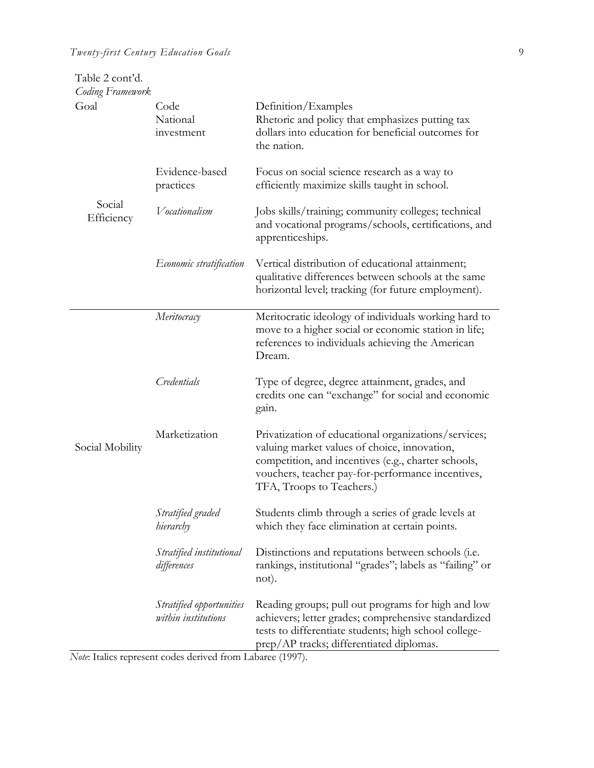| Table 2 cont'd.<br><b>Coding Framework</b> |                                                 |                                                                                                                                                                                                                                               |
|--------------------------------------------|-------------------------------------------------|-----------------------------------------------------------------------------------------------------------------------------------------------------------------------------------------------------------------------------------------------|
| Goal                                       | Code<br>National<br>investment                  | Definition/Examples<br>Rhetoric and policy that emphasizes putting tax<br>dollars into education for beneficial outcomes for<br>the nation.                                                                                                   |
|                                            | Evidence-based<br>practices                     | Focus on social science research as a way to<br>efficiently maximize skills taught in school.                                                                                                                                                 |
| Social<br>Efficiency                       | Vocationalism                                   | Jobs skills/training; community colleges; technical<br>and vocational programs/schools, certifications, and<br>apprenticeships.                                                                                                               |
|                                            | <i>Economic stratification</i>                  | Vertical distribution of educational attainment;<br>qualitative differences between schools at the same<br>horizontal level; tracking (for future employment).                                                                                |
|                                            | Meritocracy                                     | Meritocratic ideology of individuals working hard to<br>move to a higher social or economic station in life;<br>references to individuals achieving the American<br>Dream.                                                                    |
|                                            | Credentials                                     | Type of degree, degree attainment, grades, and<br>credits one can "exchange" for social and economic<br>gain.                                                                                                                                 |
| Social Mobility                            | Marketization                                   | Privatization of educational organizations/services;<br>valuing market values of choice, innovation,<br>competition, and incentives (e.g., charter schools,<br>vouchers, teacher pay-for-performance incentives,<br>TFA, Troops to Teachers.) |
|                                            | Stratified graded<br>hierarchy                  | Students climb through a series of grade levels at<br>which they face elimination at certain points.                                                                                                                                          |
|                                            | Stratified institutional<br>differences         | Distinctions and reputations between schools (i.e.<br>rankings, institutional "grades"; labels as "failing" or<br>not).                                                                                                                       |
|                                            | Stratified opportunities<br>within institutions | Reading groups; pull out programs for high and low<br>achievers; letter grades; comprehensive standardized<br>tests to differentiate students; high school college-<br>prep/AP tracks; differentiated diplomas.                               |

*Note*: Italics represent codes derived from Labaree (1997).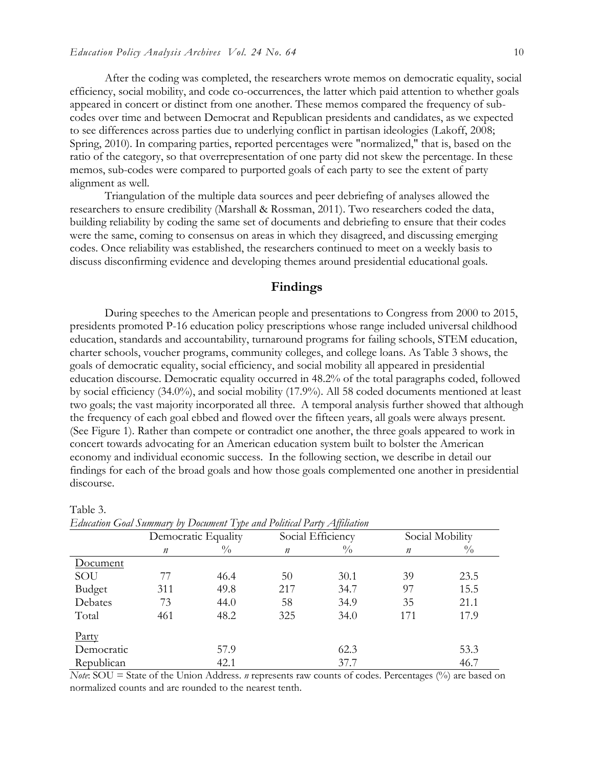After the coding was completed, the researchers wrote memos on democratic equality, social efficiency, social mobility, and code co-occurrences, the latter which paid attention to whether goals appeared in concert or distinct from one another. These memos compared the frequency of subcodes over time and between Democrat and Republican presidents and candidates, as we expected to see differences across parties due to underlying conflict in partisan ideologies (Lakoff, 2008; Spring, 2010). In comparing parties, reported percentages were "normalized," that is, based on the ratio of the category, so that overrepresentation of one party did not skew the percentage. In these memos, sub-codes were compared to purported goals of each party to see the extent of party alignment as well.

Triangulation of the multiple data sources and peer debriefing of analyses allowed the researchers to ensure credibility (Marshall & Rossman, 2011). Two researchers coded the data, building reliability by coding the same set of documents and debriefing to ensure that their codes were the same, coming to consensus on areas in which they disagreed, and discussing emerging codes. Once reliability was established, the researchers continued to meet on a weekly basis to discuss disconfirming evidence and developing themes around presidential educational goals.

## **Findings**

During speeches to the American people and presentations to Congress from 2000 to 2015, presidents promoted P-16 education policy prescriptions whose range included universal childhood education, standards and accountability, turnaround programs for failing schools, STEM education, charter schools, voucher programs, community colleges, and college loans. As Table 3 shows, the goals of democratic equality, social efficiency, and social mobility all appeared in presidential education discourse. Democratic equality occurred in 48.2% of the total paragraphs coded, followed by social efficiency (34.0%), and social mobility (17.9%). All 58 coded documents mentioned at least two goals; the vast majority incorporated all three. A temporal analysis further showed that although the frequency of each goal ebbed and flowed over the fifteen years, all goals were always present. (See Figure 1). Rather than compete or contradict one another, the three goals appeared to work in concert towards advocating for an American education system built to bolster the American economy and individual economic success. In the following section, we describe in detail our findings for each of the broad goals and how those goals complemented one another in presidential discourse.

| Eaucaiion Goai Summary by Document Type and Political Party Affiliation |                     |               |                   |               |                  |               |
|-------------------------------------------------------------------------|---------------------|---------------|-------------------|---------------|------------------|---------------|
|                                                                         | Democratic Equality |               | Social Efficiency |               | Social Mobility  |               |
|                                                                         | $\boldsymbol{n}$    | $\frac{0}{0}$ | $\boldsymbol{n}$  | $\frac{0}{0}$ | $\boldsymbol{n}$ | $\frac{0}{0}$ |
| Document                                                                |                     |               |                   |               |                  |               |
| SOU                                                                     | 77                  | 46.4          | 50                | 30.1          | 39               | 23.5          |
| Budget                                                                  | 311                 | 49.8          | 217               | 34.7          | 97               | 15.5          |
| Debates                                                                 | 73                  | 44.0          | 58                | 34.9          | 35               | 21.1          |
| Total                                                                   | 461                 | 48.2          | 325               | 34.0          | 171              | 17.9          |
| Party                                                                   |                     |               |                   |               |                  |               |
| Democratic                                                              |                     | 57.9          |                   | 62.3          |                  | 53.3          |
| Republican                                                              |                     | 42.1          |                   | 37.7          |                  | 46.7          |

Table 3.<br> $E$  duction  $C_2$  of Sum  $E_{\mu\nu}$   $\mathbf{D}_{\mu\nu}$   $\mu_{\nu\mu}$   $\mathbf{E}_{\mu\nu}$   $\mu_{\nu\mu}$   $\mathbf{D}_{\mu}$   $\mathbf{E}_{\mu\nu}$   $\mathbf{E}_{\mu\nu}$   $\mathbf{D}_{\mu\nu}$   $\mathbf{E}_{\mu\nu}$   $\mathbf{E}_{\mu\nu}$   $\mathbf{E}_{\mu\nu}$   $\mathbf{E}_{\mu\nu}$   $\mathbf{E}_{\mu\nu}$   $\mathbf{E}_{\mu\nu}$   $\mathbf{E}_{\mu\nu}$   $\mathbf{E}_{\mu$ 

*Note*: SOU = State of the Union Address. *n* represents raw counts of codes. Percentages (%) are based on normalized counts and are rounded to the nearest tenth.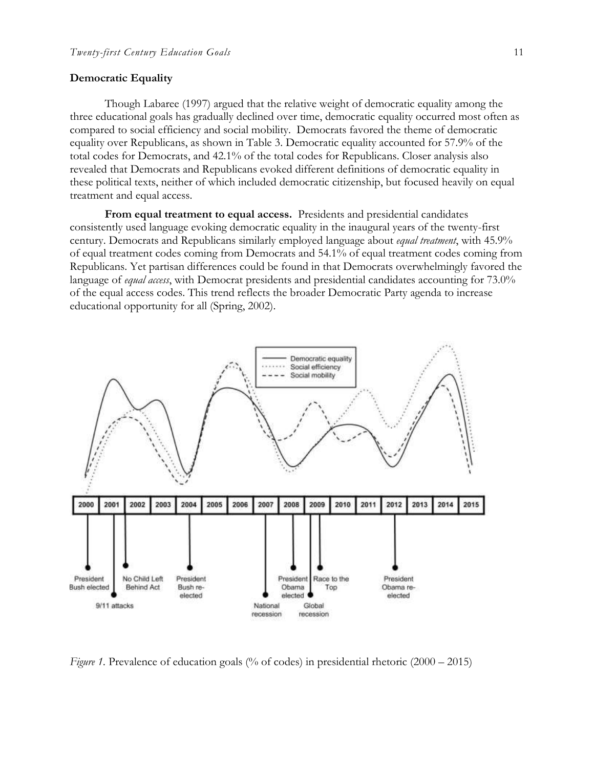### **Democratic Equality**

Though Labaree (1997) argued that the relative weight of democratic equality among the three educational goals has gradually declined over time, democratic equality occurred most often as compared to social efficiency and social mobility. Democrats favored the theme of democratic equality over Republicans, as shown in Table 3. Democratic equality accounted for 57.9% of the total codes for Democrats, and 42.1% of the total codes for Republicans. Closer analysis also revealed that Democrats and Republicans evoked different definitions of democratic equality in these political texts, neither of which included democratic citizenship, but focused heavily on equal treatment and equal access.

**From equal treatment to equal access.** Presidents and presidential candidates consistently used language evoking democratic equality in the inaugural years of the twenty-first century. Democrats and Republicans similarly employed language about *equal treatment*, with 45.9% of equal treatment codes coming from Democrats and 54.1% of equal treatment codes coming from Republicans. Yet partisan differences could be found in that Democrats overwhelmingly favored the language of *equal access*, with Democrat presidents and presidential candidates accounting for 73.0% of the equal access codes. This trend reflects the broader Democratic Party agenda to increase educational opportunity for all (Spring, 2002).



*Figure 1.* Prevalence of education goals (% of codes) in presidential rhetoric (2000 – 2015)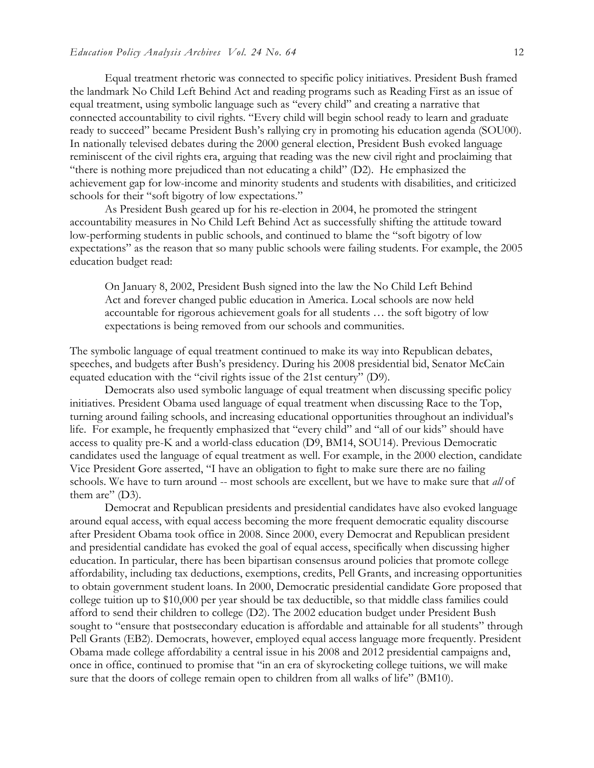Equal treatment rhetoric was connected to specific policy initiatives. President Bush framed the landmark No Child Left Behind Act and reading programs such as Reading First as an issue of equal treatment, using symbolic language such as "every child" and creating a narrative that connected accountability to civil rights. "Every child will begin school ready to learn and graduate ready to succeed" became President Bush's rallying cry in promoting his education agenda (SOU00). In nationally televised debates during the 2000 general election, President Bush evoked language reminiscent of the civil rights era, arguing that reading was the new civil right and proclaiming that "there is nothing more prejudiced than not educating a child" (D2). He emphasized the achievement gap for low-income and minority students and students with disabilities, and criticized schools for their "soft bigotry of low expectations."

As President Bush geared up for his re-election in 2004, he promoted the stringent accountability measures in No Child Left Behind Act as successfully shifting the attitude toward low-performing students in public schools, and continued to blame the "soft bigotry of low expectations" as the reason that so many public schools were failing students. For example, the 2005 education budget read:

On January 8, 2002, President Bush signed into the law the No Child Left Behind Act and forever changed public education in America. Local schools are now held accountable for rigorous achievement goals for all students … the soft bigotry of low expectations is being removed from our schools and communities.

The symbolic language of equal treatment continued to make its way into Republican debates, speeches, and budgets after Bush's presidency. During his 2008 presidential bid, Senator McCain equated education with the "civil rights issue of the 21st century" (D9).

Democrats also used symbolic language of equal treatment when discussing specific policy initiatives. President Obama used language of equal treatment when discussing Race to the Top, turning around failing schools, and increasing educational opportunities throughout an individual's life. For example, he frequently emphasized that "every child" and "all of our kids" should have access to quality pre-K and a world-class education (D9, BM14, SOU14). Previous Democratic candidates used the language of equal treatment as well. For example, in the 2000 election, candidate Vice President Gore asserted, "I have an obligation to fight to make sure there are no failing schools. We have to turn around -- most schools are excellent, but we have to make sure that *all* of them are"  $(D3)$ .

Democrat and Republican presidents and presidential candidates have also evoked language around equal access, with equal access becoming the more frequent democratic equality discourse after President Obama took office in 2008. Since 2000, every Democrat and Republican president and presidential candidate has evoked the goal of equal access, specifically when discussing higher education. In particular, there has been bipartisan consensus around policies that promote college affordability, including tax deductions, exemptions, credits, Pell Grants, and increasing opportunities to obtain government student loans. In 2000, Democratic presidential candidate Gore proposed that college tuition up to \$10,000 per year should be tax deductible, so that middle class families could afford to send their children to college (D2). The 2002 education budget under President Bush sought to "ensure that postsecondary education is affordable and attainable for all students" through Pell Grants (EB2). Democrats, however, employed equal access language more frequently. President Obama made college affordability a central issue in his 2008 and 2012 presidential campaigns and, once in office, continued to promise that "in an era of skyrocketing college tuitions, we will make sure that the doors of college remain open to children from all walks of life" (BM10).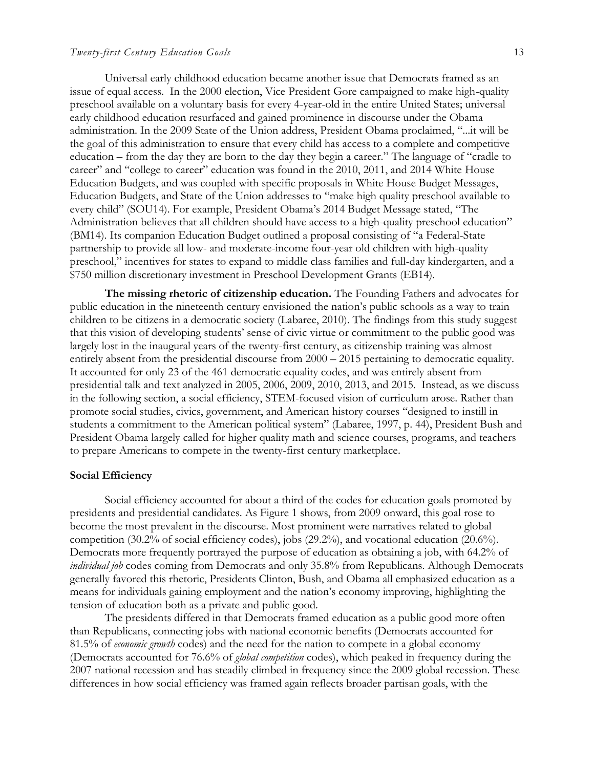### *Twenty-first Century Education Goals* 13

Universal early childhood education became another issue that Democrats framed as an issue of equal access. In the 2000 election, Vice President Gore campaigned to make high-quality preschool available on a voluntary basis for every 4-year-old in the entire United States; universal early childhood education resurfaced and gained prominence in discourse under the Obama administration. In the 2009 State of the Union address, President Obama proclaimed, "...it will be the goal of this administration to ensure that every child has access to a complete and competitive education – from the day they are born to the day they begin a career." The language of "cradle to career" and "college to career" education was found in the 2010, 2011, and 2014 White House Education Budgets, and was coupled with specific proposals in White House Budget Messages, Education Budgets, and State of the Union addresses to "make high quality preschool available to every child" (SOU14). For example, President Obama's 2014 Budget Message stated, "The Administration believes that all children should have access to a high-quality preschool education" (BM14). Its companion Education Budget outlined a proposal consisting of "a Federal-State partnership to provide all low- and moderate-income four-year old children with high-quality preschool," incentives for states to expand to middle class families and full-day kindergarten, and a \$750 million discretionary investment in Preschool Development Grants (EB14).

**The missing rhetoric of citizenship education.** The Founding Fathers and advocates for public education in the nineteenth century envisioned the nation's public schools as a way to train children to be citizens in a democratic society (Labaree, 2010). The findings from this study suggest that this vision of developing students' sense of civic virtue or commitment to the public good was largely lost in the inaugural years of the twenty-first century, as citizenship training was almost entirely absent from the presidential discourse from 2000 – 2015 pertaining to democratic equality. It accounted for only 23 of the 461 democratic equality codes, and was entirely absent from presidential talk and text analyzed in 2005, 2006, 2009, 2010, 2013, and 2015. Instead, as we discuss in the following section, a social efficiency, STEM-focused vision of curriculum arose. Rather than promote social studies, civics, government, and American history courses "designed to instill in students a commitment to the American political system" (Labaree, 1997, p. 44), President Bush and President Obama largely called for higher quality math and science courses, programs, and teachers to prepare Americans to compete in the twenty-first century marketplace.

## **Social Efficiency**

Social efficiency accounted for about a third of the codes for education goals promoted by presidents and presidential candidates. As Figure 1 shows, from 2009 onward, this goal rose to become the most prevalent in the discourse. Most prominent were narratives related to global competition (30.2% of social efficiency codes), jobs (29.2%), and vocational education (20.6%). Democrats more frequently portrayed the purpose of education as obtaining a job, with 64.2% of *individual job* codes coming from Democrats and only 35.8% from Republicans. Although Democrats generally favored this rhetoric, Presidents Clinton, Bush, and Obama all emphasized education as a means for individuals gaining employment and the nation's economy improving, highlighting the tension of education both as a private and public good.

The presidents differed in that Democrats framed education as a public good more often than Republicans, connecting jobs with national economic benefits (Democrats accounted for 81.5% of *economic growth* codes) and the need for the nation to compete in a global economy (Democrats accounted for 76.6% of *global competition* codes), which peaked in frequency during the 2007 national recession and has steadily climbed in frequency since the 2009 global recession. These differences in how social efficiency was framed again reflects broader partisan goals, with the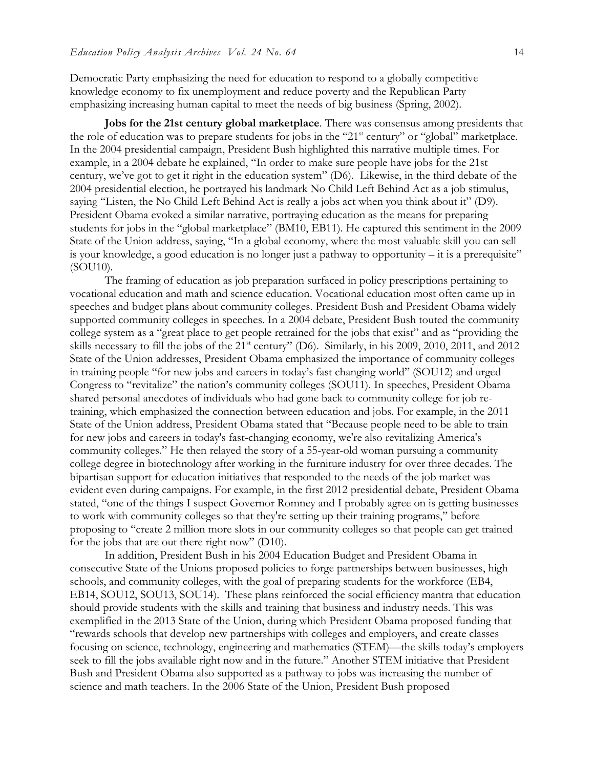Democratic Party emphasizing the need for education to respond to a globally competitive knowledge economy to fix unemployment and reduce poverty and the Republican Party emphasizing increasing human capital to meet the needs of big business (Spring, 2002).

**Jobs for the 21st century global marketplace**. There was consensus among presidents that the role of education was to prepare students for jobs in the "21<sup>st</sup> century" or "global" marketplace. In the 2004 presidential campaign, President Bush highlighted this narrative multiple times. For example, in a 2004 debate he explained, "In order to make sure people have jobs for the 21st century, we've got to get it right in the education system" (D6). Likewise, in the third debate of the 2004 presidential election, he portrayed his landmark No Child Left Behind Act as a job stimulus, saying "Listen, the No Child Left Behind Act is really a jobs act when you think about it" (D9). President Obama evoked a similar narrative, portraying education as the means for preparing students for jobs in the "global marketplace" (BM10, EB11). He captured this sentiment in the 2009 State of the Union address, saying, "In a global economy, where the most valuable skill you can sell is your knowledge, a good education is no longer just a pathway to opportunity – it is a prerequisite" (SOU10).

The framing of education as job preparation surfaced in policy prescriptions pertaining to vocational education and math and science education. Vocational education most often came up in speeches and budget plans about community colleges. President Bush and President Obama widely supported community colleges in speeches. In a 2004 debate, President Bush touted the community college system as a "great place to get people retrained for the jobs that exist" and as "providing the skills necessary to fill the jobs of the 21<sup>st</sup> century" (D6). Similarly, in his 2009, 2010, 2011, and 2012 State of the Union addresses, President Obama emphasized the importance of community colleges in training people "for new jobs and careers in today's fast changing world" (SOU12) and urged Congress to "revitalize" the nation's community colleges (SOU11). In speeches, President Obama shared personal anecdotes of individuals who had gone back to community college for job retraining, which emphasized the connection between education and jobs. For example, in the 2011 State of the Union address, President Obama stated that "Because people need to be able to train for new jobs and careers in today's fast-changing economy, we're also revitalizing America's community colleges." He then relayed the story of a 55-year-old woman pursuing a community college degree in biotechnology after working in the furniture industry for over three decades. The bipartisan support for education initiatives that responded to the needs of the job market was evident even during campaigns. For example, in the first 2012 presidential debate, President Obama stated, "one of the things I suspect Governor Romney and I probably agree on is getting businesses to work with community colleges so that they're setting up their training programs," before proposing to "create 2 million more slots in our community colleges so that people can get trained for the jobs that are out there right now" (D10).

In addition, President Bush in his 2004 Education Budget and President Obama in consecutive State of the Unions proposed policies to forge partnerships between businesses, high schools, and community colleges, with the goal of preparing students for the workforce (EB4, EB14, SOU12, SOU13, SOU14). These plans reinforced the social efficiency mantra that education should provide students with the skills and training that business and industry needs. This was exemplified in the 2013 State of the Union, during which President Obama proposed funding that "rewards schools that develop new partnerships with colleges and employers, and create classes focusing on science, technology, engineering and mathematics (STEM)—the skills today's employers seek to fill the jobs available right now and in the future." Another STEM initiative that President Bush and President Obama also supported as a pathway to jobs was increasing the number of science and math teachers. In the 2006 State of the Union, President Bush proposed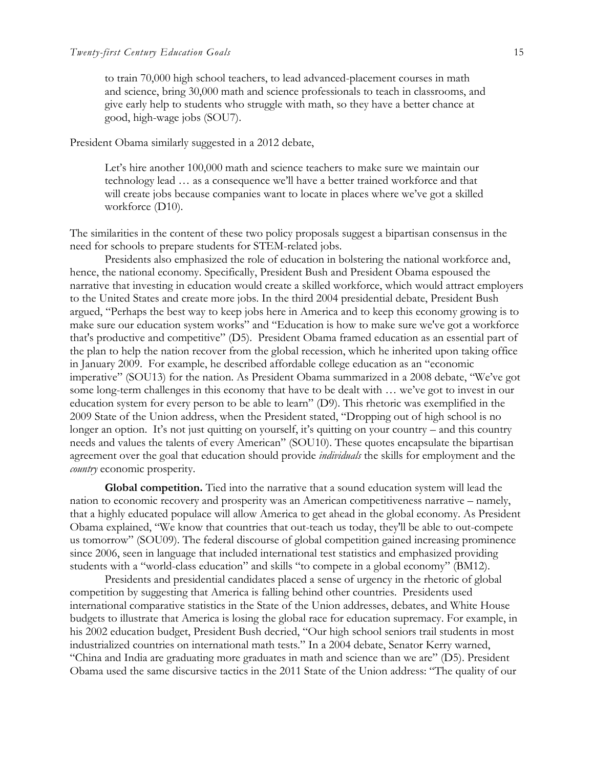to train 70,000 high school teachers, to lead advanced-placement courses in math and science, bring 30,000 math and science professionals to teach in classrooms, and give early help to students who struggle with math, so they have a better chance at good, high-wage jobs (SOU7).

President Obama similarly suggested in a 2012 debate,

Let's hire another 100,000 math and science teachers to make sure we maintain our technology lead … as a consequence we'll have a better trained workforce and that will create jobs because companies want to locate in places where we've got a skilled workforce (D10).

The similarities in the content of these two policy proposals suggest a bipartisan consensus in the need for schools to prepare students for STEM-related jobs.

Presidents also emphasized the role of education in bolstering the national workforce and, hence, the national economy. Specifically, President Bush and President Obama espoused the narrative that investing in education would create a skilled workforce, which would attract employers to the United States and create more jobs. In the third 2004 presidential debate, President Bush argued, "Perhaps the best way to keep jobs here in America and to keep this economy growing is to make sure our education system works" and "Education is how to make sure we've got a workforce that's productive and competitive" (D5). President Obama framed education as an essential part of the plan to help the nation recover from the global recession, which he inherited upon taking office in January 2009. For example, he described affordable college education as an "economic imperative" (SOU13) for the nation. As President Obama summarized in a 2008 debate, "We've got some long-term challenges in this economy that have to be dealt with … we've got to invest in our education system for every person to be able to learn" (D9). This rhetoric was exemplified in the 2009 State of the Union address, when the President stated, "Dropping out of high school is no longer an option. It's not just quitting on yourself, it's quitting on your country – and this country needs and values the talents of every American" (SOU10). These quotes encapsulate the bipartisan agreement over the goal that education should provide *individuals* the skills for employment and the *country* economic prosperity.

**Global competition.** Tied into the narrative that a sound education system will lead the nation to economic recovery and prosperity was an American competitiveness narrative – namely, that a highly educated populace will allow America to get ahead in the global economy. As President Obama explained, "We know that countries that out-teach us today, they'll be able to out-compete us tomorrow" (SOU09). The federal discourse of global competition gained increasing prominence since 2006, seen in language that included international test statistics and emphasized providing students with a "world-class education" and skills "to compete in a global economy" (BM12).

Presidents and presidential candidates placed a sense of urgency in the rhetoric of global competition by suggesting that America is falling behind other countries. Presidents used international comparative statistics in the State of the Union addresses, debates, and White House budgets to illustrate that America is losing the global race for education supremacy. For example, in his 2002 education budget, President Bush decried, "Our high school seniors trail students in most industrialized countries on international math tests." In a 2004 debate, Senator Kerry warned, "China and India are graduating more graduates in math and science than we are" (D5). President Obama used the same discursive tactics in the 2011 State of the Union address: "The quality of our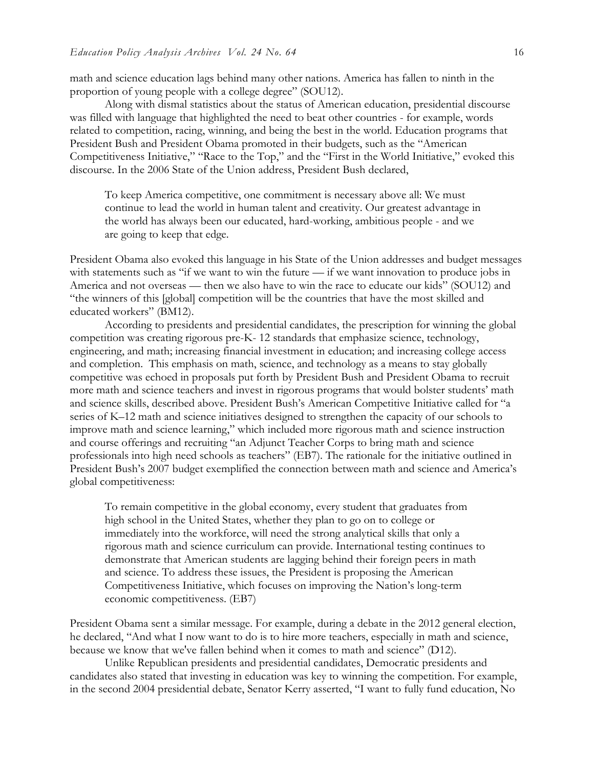math and science education lags behind many other nations. America has fallen to ninth in the proportion of young people with a college degree" (SOU12).

Along with dismal statistics about the status of American education, presidential discourse was filled with language that highlighted the need to beat other countries - for example, words related to competition, racing, winning, and being the best in the world. Education programs that President Bush and President Obama promoted in their budgets, such as the "American Competitiveness Initiative," "Race to the Top," and the "First in the World Initiative," evoked this discourse. In the 2006 State of the Union address, President Bush declared,

To keep America competitive, one commitment is necessary above all: We must continue to lead the world in human talent and creativity. Our greatest advantage in the world has always been our educated, hard-working, ambitious people - and we are going to keep that edge.

President Obama also evoked this language in his State of the Union addresses and budget messages with statements such as "if we want to win the future — if we want innovation to produce jobs in America and not overseas — then we also have to win the race to educate our kids" (SOU12) and "the winners of this [global] competition will be the countries that have the most skilled and educated workers" (BM12).

According to presidents and presidential candidates, the prescription for winning the global competition was creating rigorous pre-K- 12 standards that emphasize science, technology, engineering, and math; increasing financial investment in education; and increasing college access and completion. This emphasis on math, science, and technology as a means to stay globally competitive was echoed in proposals put forth by President Bush and President Obama to recruit more math and science teachers and invest in rigorous programs that would bolster students' math and science skills, described above. President Bush's American Competitive Initiative called for "a series of K–12 math and science initiatives designed to strengthen the capacity of our schools to improve math and science learning," which included more rigorous math and science instruction and course offerings and recruiting "an Adjunct Teacher Corps to bring math and science professionals into high need schools as teachers" (EB7). The rationale for the initiative outlined in President Bush's 2007 budget exemplified the connection between math and science and America's global competitiveness:

To remain competitive in the global economy, every student that graduates from high school in the United States, whether they plan to go on to college or immediately into the workforce, will need the strong analytical skills that only a rigorous math and science curriculum can provide. International testing continues to demonstrate that American students are lagging behind their foreign peers in math and science. To address these issues, the President is proposing the American Competitiveness Initiative, which focuses on improving the Nation's long-term economic competitiveness. (EB7)

President Obama sent a similar message. For example, during a debate in the 2012 general election, he declared, "And what I now want to do is to hire more teachers, especially in math and science, because we know that we've fallen behind when it comes to math and science" (D12).

Unlike Republican presidents and presidential candidates, Democratic presidents and candidates also stated that investing in education was key to winning the competition. For example, in the second 2004 presidential debate, Senator Kerry asserted, "I want to fully fund education, No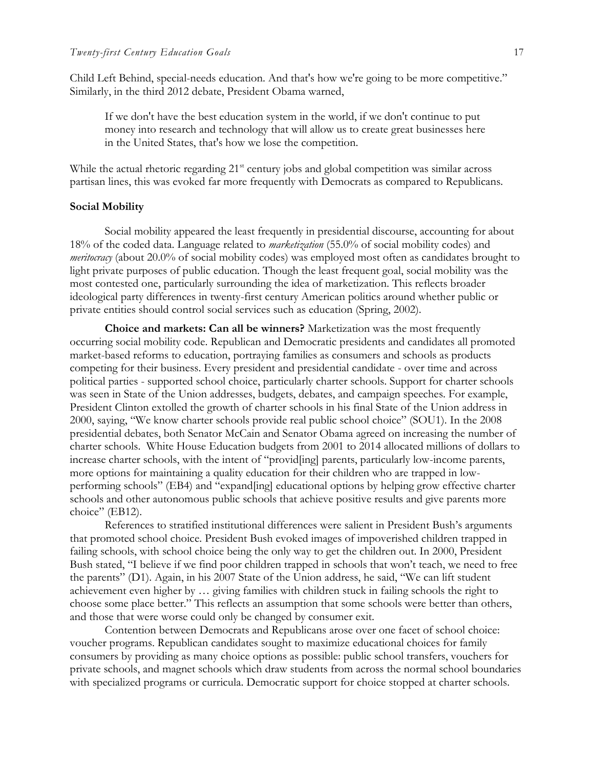Child Left Behind, special-needs education. And that's how we're going to be more competitive." Similarly, in the third 2012 debate, President Obama warned,

If we don't have the best education system in the world, if we don't continue to put money into research and technology that will allow us to create great businesses here in the United States, that's how we lose the competition.

While the actual rhetoric regarding  $21<sup>st</sup>$  century jobs and global competition was similar across partisan lines, this was evoked far more frequently with Democrats as compared to Republicans.

#### **Social Mobility**

Social mobility appeared the least frequently in presidential discourse, accounting for about 18% of the coded data. Language related to *marketization* (55.0% of social mobility codes) and *meritocracy* (about 20.0% of social mobility codes) was employed most often as candidates brought to light private purposes of public education. Though the least frequent goal, social mobility was the most contested one, particularly surrounding the idea of marketization. This reflects broader ideological party differences in twenty-first century American politics around whether public or private entities should control social services such as education (Spring, 2002).

**Choice and markets: Can all be winners?** Marketization was the most frequently occurring social mobility code. Republican and Democratic presidents and candidates all promoted market-based reforms to education, portraying families as consumers and schools as products competing for their business. Every president and presidential candidate - over time and across political parties - supported school choice, particularly charter schools. Support for charter schools was seen in State of the Union addresses, budgets, debates, and campaign speeches. For example, President Clinton extolled the growth of charter schools in his final State of the Union address in 2000, saying, "We know charter schools provide real public school choice" (SOU1). In the 2008 presidential debates, both Senator McCain and Senator Obama agreed on increasing the number of charter schools. White House Education budgets from 2001 to 2014 allocated millions of dollars to increase charter schools, with the intent of "provid[ing] parents, particularly low-income parents, more options for maintaining a quality education for their children who are trapped in lowperforming schools" (EB4) and "expand[ing] educational options by helping grow effective charter schools and other autonomous public schools that achieve positive results and give parents more choice" (EB12).

References to stratified institutional differences were salient in President Bush's arguments that promoted school choice. President Bush evoked images of impoverished children trapped in failing schools, with school choice being the only way to get the children out. In 2000, President Bush stated, "I believe if we find poor children trapped in schools that won't teach, we need to free the parents" (D1). Again, in his 2007 State of the Union address, he said, "We can lift student achievement even higher by … giving families with children stuck in failing schools the right to choose some place better." This reflects an assumption that some schools were better than others, and those that were worse could only be changed by consumer exit.

Contention between Democrats and Republicans arose over one facet of school choice: voucher programs. Republican candidates sought to maximize educational choices for family consumers by providing as many choice options as possible: public school transfers, vouchers for private schools, and magnet schools which draw students from across the normal school boundaries with specialized programs or curricula. Democratic support for choice stopped at charter schools.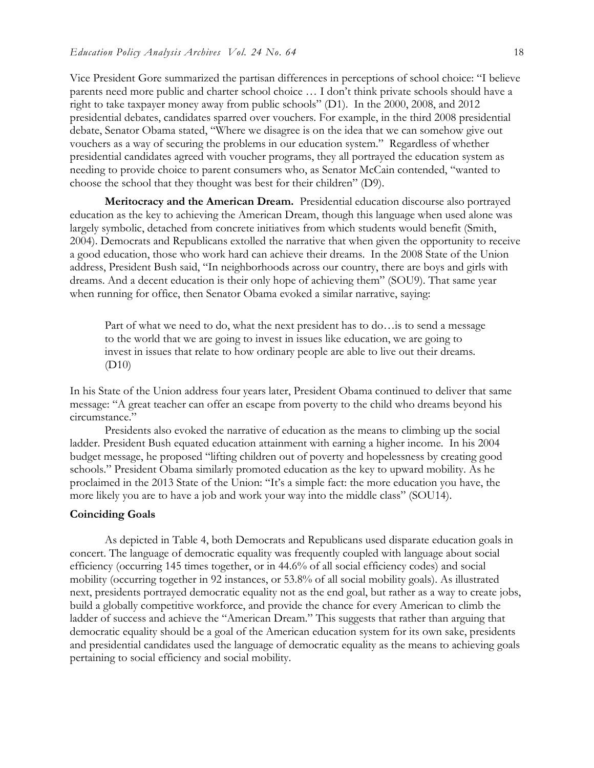Vice President Gore summarized the partisan differences in perceptions of school choice: "I believe parents need more public and charter school choice … I don't think private schools should have a right to take taxpayer money away from public schools" (D1). In the 2000, 2008, and 2012 presidential debates, candidates sparred over vouchers. For example, in the third 2008 presidential debate, Senator Obama stated, "Where we disagree is on the idea that we can somehow give out vouchers as a way of securing the problems in our education system." Regardless of whether presidential candidates agreed with voucher programs, they all portrayed the education system as needing to provide choice to parent consumers who, as Senator McCain contended, "wanted to choose the school that they thought was best for their children" (D9).

**Meritocracy and the American Dream.** Presidential education discourse also portrayed education as the key to achieving the American Dream, though this language when used alone was largely symbolic, detached from concrete initiatives from which students would benefit (Smith, 2004). Democrats and Republicans extolled the narrative that when given the opportunity to receive a good education, those who work hard can achieve their dreams. In the 2008 State of the Union address, President Bush said, "In neighborhoods across our country, there are boys and girls with dreams. And a decent education is their only hope of achieving them" (SOU9). That same year when running for office, then Senator Obama evoked a similar narrative, saying:

Part of what we need to do, what the next president has to do…is to send a message to the world that we are going to invest in issues like education, we are going to invest in issues that relate to how ordinary people are able to live out their dreams. (D10)

In his State of the Union address four years later, President Obama continued to deliver that same message: "A great teacher can offer an escape from poverty to the child who dreams beyond his circumstance."

Presidents also evoked the narrative of education as the means to climbing up the social ladder. President Bush equated education attainment with earning a higher income. In his 2004 budget message, he proposed "lifting children out of poverty and hopelessness by creating good schools." President Obama similarly promoted education as the key to upward mobility. As he proclaimed in the 2013 State of the Union: "It's a simple fact: the more education you have, the more likely you are to have a job and work your way into the middle class" (SOU14).

## **Coinciding Goals**

As depicted in Table 4, both Democrats and Republicans used disparate education goals in concert. The language of democratic equality was frequently coupled with language about social efficiency (occurring 145 times together, or in 44.6% of all social efficiency codes) and social mobility (occurring together in 92 instances, or 53.8% of all social mobility goals). As illustrated next, presidents portrayed democratic equality not as the end goal, but rather as a way to create jobs, build a globally competitive workforce, and provide the chance for every American to climb the ladder of success and achieve the "American Dream." This suggests that rather than arguing that democratic equality should be a goal of the American education system for its own sake, presidents and presidential candidates used the language of democratic equality as the means to achieving goals pertaining to social efficiency and social mobility.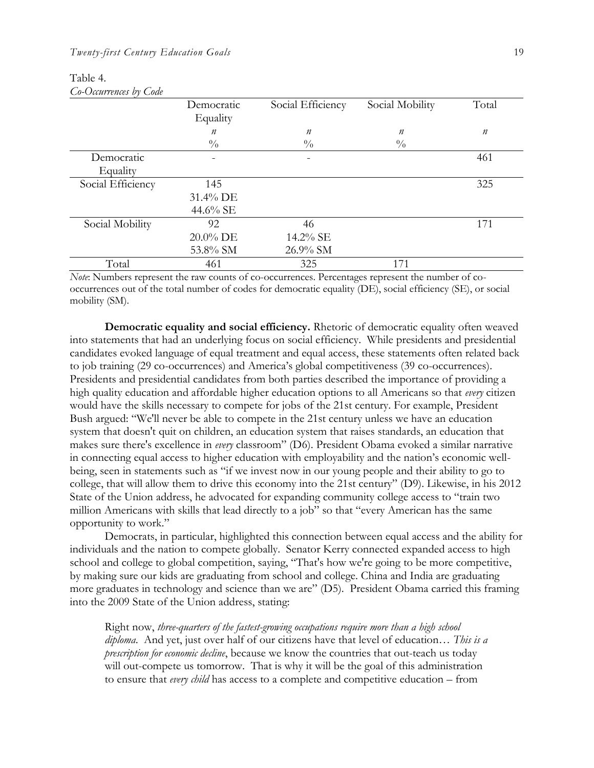| $C$ <i>v</i> - $O$ <i>um</i> tentes <i>v</i> $V$ $C$ <i>vu</i> c |                  |                   |                  |                  |
|------------------------------------------------------------------|------------------|-------------------|------------------|------------------|
|                                                                  | Democratic       | Social Efficiency | Social Mobility  | Total            |
|                                                                  | Equality         |                   |                  |                  |
|                                                                  | $\boldsymbol{n}$ | $\boldsymbol{n}$  | $\boldsymbol{n}$ | $\boldsymbol{n}$ |
|                                                                  | $\frac{0}{0}$    | $\frac{0}{0}$     | $\frac{0}{0}$    |                  |
| Democratic                                                       |                  |                   |                  | 461              |
| Equality                                                         |                  |                   |                  |                  |
| Social Efficiency                                                | 145              |                   |                  | 325              |
|                                                                  | 31.4% DE         |                   |                  |                  |
|                                                                  | 44.6% SE         |                   |                  |                  |
| Social Mobility                                                  | 92               | 46                |                  | 171              |
|                                                                  | 20.0% DE         | 14.2% SE          |                  |                  |
|                                                                  | 53.8% SM         | 26.9% SM          |                  |                  |
| Total                                                            | 461              | 325               | 171              |                  |

Table 4. *Co-Occurrences by Code* 

*Note*: Numbers represent the raw counts of co-occurrences. Percentages represent the number of cooccurrences out of the total number of codes for democratic equality (DE), social efficiency (SE), or social mobility (SM).

**Democratic equality and social efficiency.** Rhetoric of democratic equality often weaved into statements that had an underlying focus on social efficiency. While presidents and presidential candidates evoked language of equal treatment and equal access, these statements often related back to job training (29 co-occurrences) and America's global competitiveness (39 co-occurrences). Presidents and presidential candidates from both parties described the importance of providing a high quality education and affordable higher education options to all Americans so that *every* citizen would have the skills necessary to compete for jobs of the 21st century. For example, President Bush argued: "We'll never be able to compete in the 21st century unless we have an education system that doesn't quit on children, an education system that raises standards, an education that makes sure there's excellence in *every* classroom" (D6). President Obama evoked a similar narrative in connecting equal access to higher education with employability and the nation's economic wellbeing, seen in statements such as "if we invest now in our young people and their ability to go to college, that will allow them to drive this economy into the 21st century" (D9). Likewise, in his 2012 State of the Union address, he advocated for expanding community college access to "train two million Americans with skills that lead directly to a job" so that "every American has the same opportunity to work."

Democrats, in particular, highlighted this connection between equal access and the ability for individuals and the nation to compete globally. Senator Kerry connected expanded access to high school and college to global competition, saying, "That's how we're going to be more competitive, by making sure our kids are graduating from school and college. China and India are graduating more graduates in technology and science than we are" (D5). President Obama carried this framing into the 2009 State of the Union address, stating:

Right now, *three-quarters of the fastest-growing occupations require more than a high school diploma*. And yet, just over half of our citizens have that level of education… *This is a prescription for economic decline*, because we know the countries that out-teach us today will out-compete us tomorrow. That is why it will be the goal of this administration to ensure that *every child* has access to a complete and competitive education – from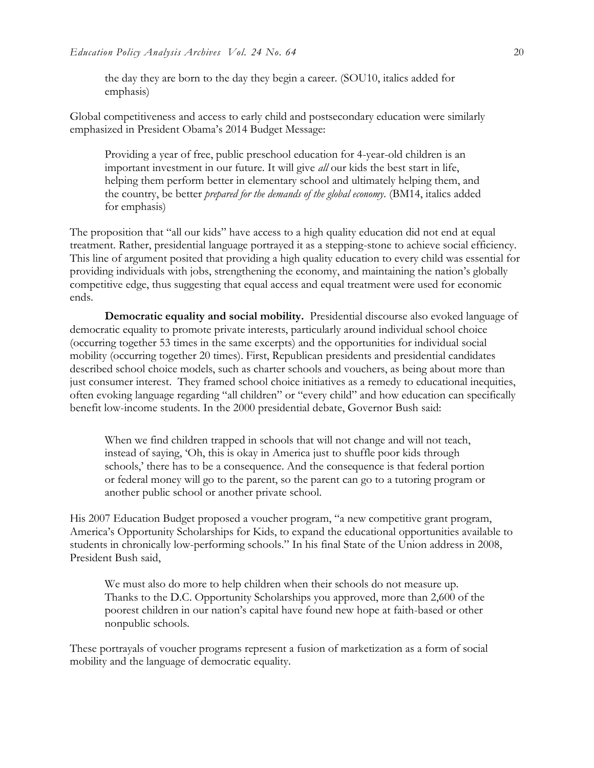the day they are born to the day they begin a career. (SOU10, italics added for emphasis)

Global competitiveness and access to early child and postsecondary education were similarly emphasized in President Obama's 2014 Budget Message:

Providing a year of free, public preschool education for 4-year-old children is an important investment in our future. It will give *all* our kids the best start in life, helping them perform better in elementary school and ultimately helping them, and the country, be better *prepared for the demands of the global economy*. (BM14, italics added for emphasis)

The proposition that "all our kids" have access to a high quality education did not end at equal treatment. Rather, presidential language portrayed it as a stepping-stone to achieve social efficiency. This line of argument posited that providing a high quality education to every child was essential for providing individuals with jobs, strengthening the economy, and maintaining the nation's globally competitive edge, thus suggesting that equal access and equal treatment were used for economic ends.

 **Democratic equality and social mobility.** Presidential discourse also evoked language of democratic equality to promote private interests, particularly around individual school choice (occurring together 53 times in the same excerpts) and the opportunities for individual social mobility (occurring together 20 times). First, Republican presidents and presidential candidates described school choice models, such as charter schools and vouchers, as being about more than just consumer interest. They framed school choice initiatives as a remedy to educational inequities, often evoking language regarding "all children" or "every child" and how education can specifically benefit low-income students. In the 2000 presidential debate, Governor Bush said:

When we find children trapped in schools that will not change and will not teach, instead of saying, 'Oh, this is okay in America just to shuffle poor kids through schools,' there has to be a consequence. And the consequence is that federal portion or federal money will go to the parent, so the parent can go to a tutoring program or another public school or another private school.

His 2007 Education Budget proposed a voucher program, "a new competitive grant program, America's Opportunity Scholarships for Kids, to expand the educational opportunities available to students in chronically low-performing schools." In his final State of the Union address in 2008, President Bush said,

We must also do more to help children when their schools do not measure up. Thanks to the D.C. Opportunity Scholarships you approved, more than 2,600 of the poorest children in our nation's capital have found new hope at faith-based or other nonpublic schools.

These portrayals of voucher programs represent a fusion of marketization as a form of social mobility and the language of democratic equality.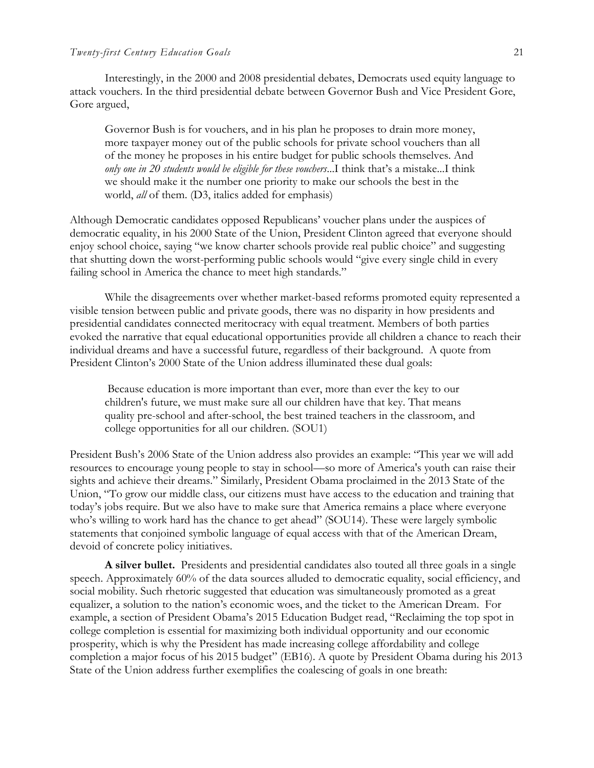## *Twenty-first Century Education Goals* 21

Interestingly, in the 2000 and 2008 presidential debates, Democrats used equity language to attack vouchers. In the third presidential debate between Governor Bush and Vice President Gore, Gore argued,

Governor Bush is for vouchers, and in his plan he proposes to drain more money, more taxpayer money out of the public schools for private school vouchers than all of the money he proposes in his entire budget for public schools themselves. And *only one in 20 students would be eligible for these vouchers*...I think that's a mistake...I think we should make it the number one priority to make our schools the best in the world, *all* of them. (D3, italics added for emphasis)

Although Democratic candidates opposed Republicans' voucher plans under the auspices of democratic equality, in his 2000 State of the Union, President Clinton agreed that everyone should enjoy school choice, saying "we know charter schools provide real public choice" and suggesting that shutting down the worst-performing public schools would "give every single child in every failing school in America the chance to meet high standards."

 While the disagreements over whether market-based reforms promoted equity represented a visible tension between public and private goods, there was no disparity in how presidents and presidential candidates connected meritocracy with equal treatment. Members of both parties evoked the narrative that equal educational opportunities provide all children a chance to reach their individual dreams and have a successful future, regardless of their background. A quote from President Clinton's 2000 State of the Union address illuminated these dual goals:

Because education is more important than ever, more than ever the key to our children's future, we must make sure all our children have that key. That means quality pre-school and after-school, the best trained teachers in the classroom, and college opportunities for all our children. (SOU1)

President Bush's 2006 State of the Union address also provides an example: "This year we will add resources to encourage young people to stay in school—so more of America's youth can raise their sights and achieve their dreams." Similarly, President Obama proclaimed in the 2013 State of the Union, "To grow our middle class, our citizens must have access to the education and training that today's jobs require. But we also have to make sure that America remains a place where everyone who's willing to work hard has the chance to get ahead" (SOU14). These were largely symbolic statements that conjoined symbolic language of equal access with that of the American Dream, devoid of concrete policy initiatives.

 **A silver bullet.** Presidents and presidential candidates also touted all three goals in a single speech. Approximately 60% of the data sources alluded to democratic equality, social efficiency, and social mobility. Such rhetoric suggested that education was simultaneously promoted as a great equalizer, a solution to the nation's economic woes, and the ticket to the American Dream. For example, a section of President Obama's 2015 Education Budget read, "Reclaiming the top spot in college completion is essential for maximizing both individual opportunity and our economic prosperity, which is why the President has made increasing college affordability and college completion a major focus of his 2015 budget" (EB16). A quote by President Obama during his 2013 State of the Union address further exemplifies the coalescing of goals in one breath: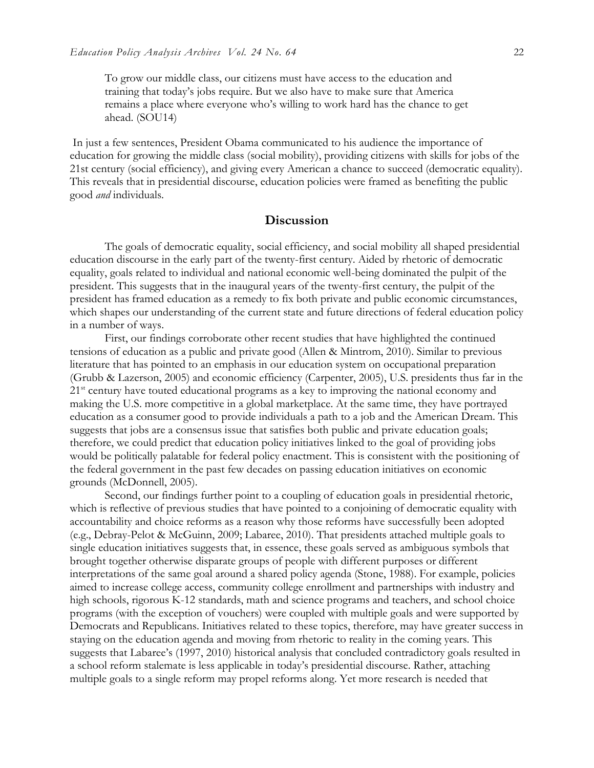To grow our middle class, our citizens must have access to the education and training that today's jobs require. But we also have to make sure that America remains a place where everyone who's willing to work hard has the chance to get ahead. (SOU14)

In just a few sentences, President Obama communicated to his audience the importance of education for growing the middle class (social mobility), providing citizens with skills for jobs of the 21st century (social efficiency), and giving every American a chance to succeed (democratic equality). This reveals that in presidential discourse, education policies were framed as benefiting the public good *and* individuals.

## **Discussion**

 The goals of democratic equality, social efficiency, and social mobility all shaped presidential education discourse in the early part of the twenty-first century. Aided by rhetoric of democratic equality, goals related to individual and national economic well-being dominated the pulpit of the president. This suggests that in the inaugural years of the twenty-first century, the pulpit of the president has framed education as a remedy to fix both private and public economic circumstances, which shapes our understanding of the current state and future directions of federal education policy in a number of ways.

First, our findings corroborate other recent studies that have highlighted the continued tensions of education as a public and private good (Allen & Mintrom, 2010). Similar to previous literature that has pointed to an emphasis in our education system on occupational preparation (Grubb & Lazerson, 2005) and economic efficiency (Carpenter, 2005), U.S. presidents thus far in the  $21<sup>st</sup>$  century have touted educational programs as a key to improving the national economy and making the U.S. more competitive in a global marketplace. At the same time, they have portrayed education as a consumer good to provide individuals a path to a job and the American Dream. This suggests that jobs are a consensus issue that satisfies both public and private education goals; therefore, we could predict that education policy initiatives linked to the goal of providing jobs would be politically palatable for federal policy enactment. This is consistent with the positioning of the federal government in the past few decades on passing education initiatives on economic grounds (McDonnell, 2005).

Second, our findings further point to a coupling of education goals in presidential rhetoric, which is reflective of previous studies that have pointed to a conjoining of democratic equality with accountability and choice reforms as a reason why those reforms have successfully been adopted (e.g., Debray-Pelot & McGuinn, 2009; Labaree, 2010). That presidents attached multiple goals to single education initiatives suggests that, in essence, these goals served as ambiguous symbols that brought together otherwise disparate groups of people with different purposes or different interpretations of the same goal around a shared policy agenda (Stone, 1988). For example, policies aimed to increase college access, community college enrollment and partnerships with industry and high schools, rigorous K-12 standards, math and science programs and teachers, and school choice programs (with the exception of vouchers) were coupled with multiple goals and were supported by Democrats and Republicans. Initiatives related to these topics, therefore, may have greater success in staying on the education agenda and moving from rhetoric to reality in the coming years. This suggests that Labaree's (1997, 2010) historical analysis that concluded contradictory goals resulted in a school reform stalemate is less applicable in today's presidential discourse. Rather, attaching multiple goals to a single reform may propel reforms along. Yet more research is needed that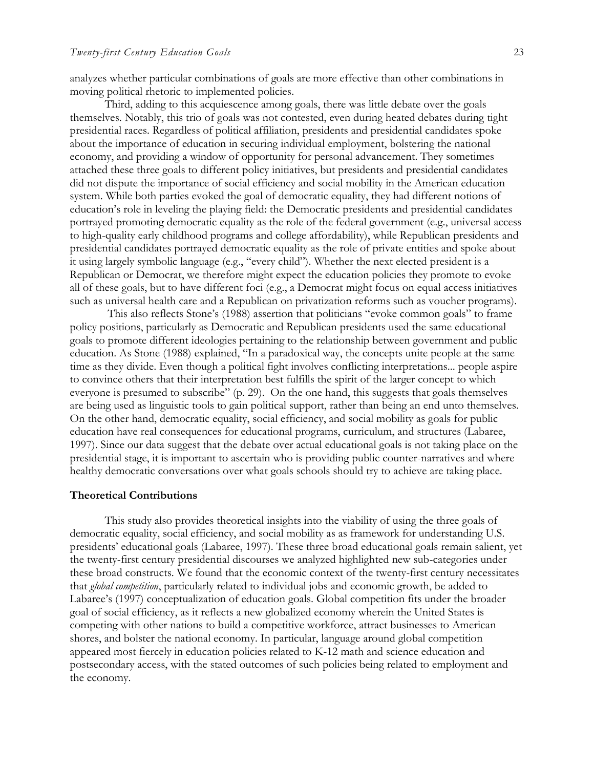analyzes whether particular combinations of goals are more effective than other combinations in moving political rhetoric to implemented policies.

Third, adding to this acquiescence among goals, there was little debate over the goals themselves. Notably, this trio of goals was not contested, even during heated debates during tight presidential races. Regardless of political affiliation, presidents and presidential candidates spoke about the importance of education in securing individual employment, bolstering the national economy, and providing a window of opportunity for personal advancement. They sometimes attached these three goals to different policy initiatives, but presidents and presidential candidates did not dispute the importance of social efficiency and social mobility in the American education system. While both parties evoked the goal of democratic equality, they had different notions of education's role in leveling the playing field: the Democratic presidents and presidential candidates portrayed promoting democratic equality as the role of the federal government (e.g., universal access to high-quality early childhood programs and college affordability), while Republican presidents and presidential candidates portrayed democratic equality as the role of private entities and spoke about it using largely symbolic language (e.g., "every child"). Whether the next elected president is a Republican or Democrat, we therefore might expect the education policies they promote to evoke all of these goals, but to have different foci (e.g., a Democrat might focus on equal access initiatives such as universal health care and a Republican on privatization reforms such as voucher programs).

This also reflects Stone's (1988) assertion that politicians "evoke common goals" to frame policy positions, particularly as Democratic and Republican presidents used the same educational goals to promote different ideologies pertaining to the relationship between government and public education. As Stone (1988) explained, "In a paradoxical way, the concepts unite people at the same time as they divide. Even though a political fight involves conflicting interpretations... people aspire to convince others that their interpretation best fulfills the spirit of the larger concept to which everyone is presumed to subscribe" (p. 29). On the one hand, this suggests that goals themselves are being used as linguistic tools to gain political support, rather than being an end unto themselves. On the other hand, democratic equality, social efficiency, and social mobility as goals for public education have real consequences for educational programs, curriculum, and structures (Labaree, 1997). Since our data suggest that the debate over actual educational goals is not taking place on the presidential stage, it is important to ascertain who is providing public counter-narratives and where healthy democratic conversations over what goals schools should try to achieve are taking place.

## **Theoretical Contributions**

This study also provides theoretical insights into the viability of using the three goals of democratic equality, social efficiency, and social mobility as as framework for understanding U.S. presidents' educational goals (Labaree, 1997). These three broad educational goals remain salient, yet the twenty-first century presidential discourses we analyzed highlighted new sub-categories under these broad constructs. We found that the economic context of the twenty-first century necessitates that *global competition*, particularly related to individual jobs and economic growth, be added to Labaree's (1997) conceptualization of education goals. Global competition fits under the broader goal of social efficiency, as it reflects a new globalized economy wherein the United States is competing with other nations to build a competitive workforce, attract businesses to American shores, and bolster the national economy. In particular, language around global competition appeared most fiercely in education policies related to K-12 math and science education and postsecondary access, with the stated outcomes of such policies being related to employment and the economy.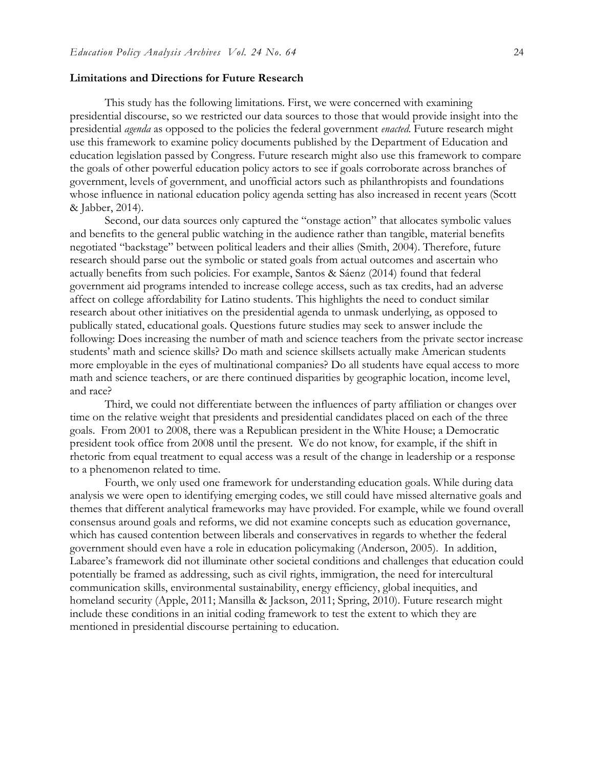### **Limitations and Directions for Future Research**

This study has the following limitations. First, we were concerned with examining presidential discourse, so we restricted our data sources to those that would provide insight into the presidential *agenda* as opposed to the policies the federal government *enacted*. Future research might use this framework to examine policy documents published by the Department of Education and education legislation passed by Congress. Future research might also use this framework to compare the goals of other powerful education policy actors to see if goals corroborate across branches of government, levels of government, and unofficial actors such as philanthropists and foundations whose influence in national education policy agenda setting has also increased in recent years (Scott & Jabber, 2014).

Second, our data sources only captured the "onstage action" that allocates symbolic values and benefits to the general public watching in the audience rather than tangible, material benefits negotiated "backstage" between political leaders and their allies (Smith, 2004). Therefore, future research should parse out the symbolic or stated goals from actual outcomes and ascertain who actually benefits from such policies. For example, Santos & Sáenz (2014) found that federal government aid programs intended to increase college access, such as tax credits, had an adverse affect on college affordability for Latino students. This highlights the need to conduct similar research about other initiatives on the presidential agenda to unmask underlying, as opposed to publically stated, educational goals. Questions future studies may seek to answer include the following: Does increasing the number of math and science teachers from the private sector increase students' math and science skills? Do math and science skillsets actually make American students more employable in the eyes of multinational companies? Do all students have equal access to more math and science teachers, or are there continued disparities by geographic location, income level, and race?

 Third, we could not differentiate between the influences of party affiliation or changes over time on the relative weight that presidents and presidential candidates placed on each of the three goals. From 2001 to 2008, there was a Republican president in the White House; a Democratic president took office from 2008 until the present. We do not know, for example, if the shift in rhetoric from equal treatment to equal access was a result of the change in leadership or a response to a phenomenon related to time.

Fourth, we only used one framework for understanding education goals. While during data analysis we were open to identifying emerging codes, we still could have missed alternative goals and themes that different analytical frameworks may have provided. For example, while we found overall consensus around goals and reforms, we did not examine concepts such as education governance, which has caused contention between liberals and conservatives in regards to whether the federal government should even have a role in education policymaking (Anderson, 2005). In addition, Labaree's framework did not illuminate other societal conditions and challenges that education could potentially be framed as addressing, such as civil rights, immigration, the need for intercultural communication skills, environmental sustainability, energy efficiency, global inequities, and homeland security (Apple, 2011; Mansilla & Jackson, 2011; Spring, 2010). Future research might include these conditions in an initial coding framework to test the extent to which they are mentioned in presidential discourse pertaining to education.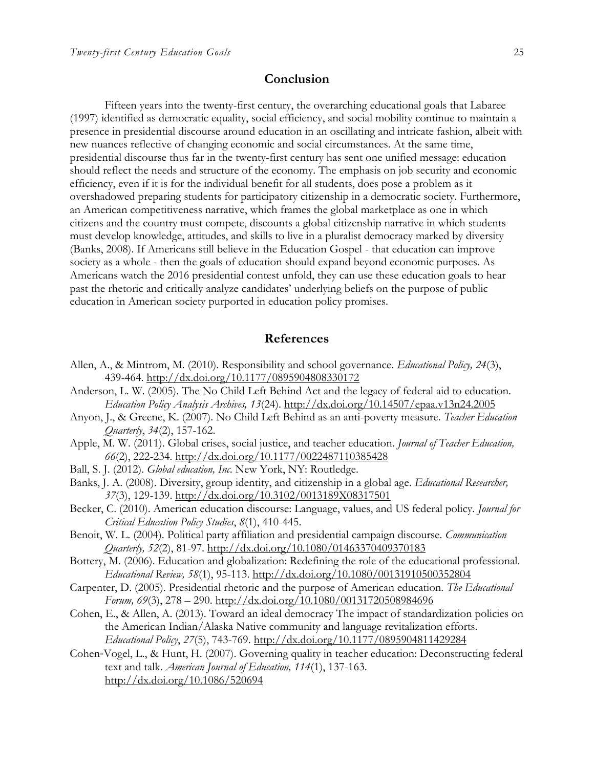## **Conclusion**

Fifteen years into the twenty-first century, the overarching educational goals that Labaree (1997) identified as democratic equality, social efficiency, and social mobility continue to maintain a presence in presidential discourse around education in an oscillating and intricate fashion, albeit with new nuances reflective of changing economic and social circumstances. At the same time, presidential discourse thus far in the twenty-first century has sent one unified message: education should reflect the needs and structure of the economy. The emphasis on job security and economic efficiency, even if it is for the individual benefit for all students, does pose a problem as it overshadowed preparing students for participatory citizenship in a democratic society. Furthermore, an American competitiveness narrative, which frames the global marketplace as one in which citizens and the country must compete, discounts a global citizenship narrative in which students must develop knowledge, attitudes, and skills to live in a pluralist democracy marked by diversity (Banks, 2008). If Americans still believe in the Education Gospel - that education can improve society as a whole - then the goals of education should expand beyond economic purposes. As Americans watch the 2016 presidential contest unfold, they can use these education goals to hear past the rhetoric and critically analyze candidates' underlying beliefs on the purpose of public education in American society purported in education policy promises.

## **References**

- Allen, A., & Mintrom, M. (2010). Responsibility and school governance. *Educational Policy, 24*(3), 439-464.<http://dx.doi.org/10.1177/0895904808330172>
- Anderson, L. W. (2005). The No Child Left Behind Act and the legacy of federal aid to education. *Education Policy Analysis Archives, 13*(24). <http://dx.doi.org/10.14507/epaa.v13n24.2005>
- Anyon, J., & Greene, K. (2007). No Child Left Behind as an anti-poverty measure. *Teacher Education Quarterly*, *34*(2), 157-162.
- Apple, M. W. (2011). Global crises, social justice, and teacher education. *Journal of Teacher Education, 66*(2), 222-234.<http://dx.doi.org/10.1177/0022487110385428>
- Ball, S. J. (2012). *Global education, Inc*. New York, NY: Routledge.
- Banks, J. A. (2008). Diversity, group identity, and citizenship in a global age. *Educational Researcher, 37*(3), 129-139.<http://dx.doi.org/10.3102/0013189X08317501>
- Becker, C. (2010). American education discourse: Language, values, and US federal policy. *Journal for Critical Education Policy Studies*, *8*(1), 410-445.
- Benoit, W. L. (2004). Political party affiliation and presidential campaign discourse. *Communication Quarterly, 52*(2), 81-97.<http://dx.doi.org/10.1080/01463370409370183>
- Bottery, M. (2006). Education and globalization: Redefining the role of the educational professional. *Educational Review, 58*(1), 95-113. <http://dx.doi.org/10.1080/00131910500352804>
- Carpenter, D. (2005). Presidential rhetoric and the purpose of American education. *The Educational Forum, 69*(3), 278 – 290.<http://dx.doi.org/10.1080/00131720508984696>
- Cohen, E., & Allen, A. (2013). Toward an ideal democracy The impact of standardization policies on the American Indian/Alaska Native community and language revitalization efforts. *Educational Policy*, *27*(5), 743-769. <http://dx.doi.org/10.1177/0895904811429284>
- Cohen‐Vogel, L., & Hunt, H. (2007). Governing quality in teacher education: Deconstructing federal text and talk. *American Journal of Education, 114*(1), 137-163. <http://dx.doi.org/10.1086/520694>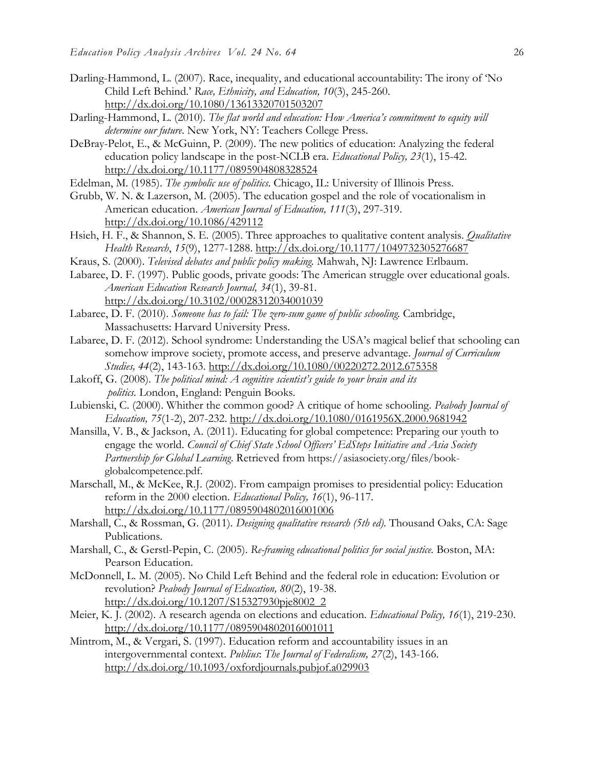- Darling-Hammond, L. (2007). Race, inequality, and educational accountability: The irony of 'No Child Left Behind.' *Race, Ethnicity, and Education, 10*(3), 245-260. <http://dx.doi.org/10.1080/13613320701503207>
- Darling-Hammond, L. (2010). *The flat world and education: How America's commitment to equity will determine our future*. New York, NY: Teachers College Press.
- DeBray-Pelot, E., & McGuinn, P. (2009). The new politics of education: Analyzing the federal education policy landscape in the post-NCLB era. *Educational Policy, 23*(1), 15-42. <http://dx.doi.org/10.1177/0895904808328524>
- Edelman, M. (1985). *The symbolic use of politics*. Chicago, IL: University of Illinois Press.
- Grubb, W. N. & Lazerson, M. (2005). The education gospel and the role of vocationalism in American education. *American Journal of Education, 111*(3), 297-319. <http://dx.doi.org/10.1086/429112>
- Hsieh, H. F., & Shannon, S. E. (2005). Three approaches to qualitative content analysis. *Qualitative Health Research*, *15*(9), 1277-1288. <http://dx.doi.org/10.1177/1049732305276687>
- Kraus, S. (2000). *Televised debates and public policy making.* Mahwah, NJ: Lawrence Erlbaum.
- Labaree, D. F. (1997). Public goods, private goods: The American struggle over educational goals. *American Education Research Journal, 34*(1), 39-81. <http://dx.doi.org/10.3102/00028312034001039>
- Labaree, D. F. (2010). *Someone has to fail: The zero-sum game of public schooling*. Cambridge, Massachusetts: Harvard University Press.
- Labaree, D. F. (2012). School syndrome: Understanding the USA's magical belief that schooling can somehow improve society, promote access, and preserve advantage. *Journal of Curriculum Studies, 44*(2), 143-163. <http://dx.doi.org/10.1080/00220272.2012.675358>
- Lakoff, G. (2008). *The political mind: A cognitive scientist's guide to your brain and its politics.* London, England: Penguin Books.
- Lubienski, C. (2000). Whither the common good? A critique of home schooling. *Peabody Journal of Education, 75*(1-2), 207-232.<http://dx.doi.org/10.1080/0161956X.2000.9681942>
- Mansilla, V. B., & Jackson, A. (2011). Educating for global competence: Preparing our youth to engage the world. *Council of Chief State School Officers' EdSteps Initiative and Asia Society Partnership for Global Learning*. Retrieved from https://asiasociety.org/files/bookglobalcompetence.pdf.
- Marschall, M., & McKee, R.J. (2002). From campaign promises to presidential policy: Education reform in the 2000 election. *Educational Policy, 16*(1), 96-117. <http://dx.doi.org/10.1177/0895904802016001006>
- Marshall, C., & Rossman, G. (2011). *Designing qualitative research (5th ed)*. Thousand Oaks, CA: Sage Publications.
- Marshall, C., & Gerstl-Pepin, C. (2005). *Re-framing educational politics for social justice.* Boston, MA: Pearson Education.
- McDonnell, L. M. (2005). No Child Left Behind and the federal role in education: Evolution or revolution? *Peabody Journal of Education, 80*(2), 19-38. [http://dx.doi.org/10.1207/S15327930pje8002\\_2](http://dx.doi.org/10.1207/S15327930pje8002_2)
- Meier, K. J. (2002). A research agenda on elections and education. *Educational Policy, 16*(1), 219-230. <http://dx.doi.org/10.1177/0895904802016001011>
- Mintrom, M., & Vergari, S. (1997). Education reform and accountability issues in an intergovernmental context. *Publius*: *The Journal of Federalism, 27*(2), 143-166. <http://dx.doi.org/10.1093/oxfordjournals.pubjof.a029903>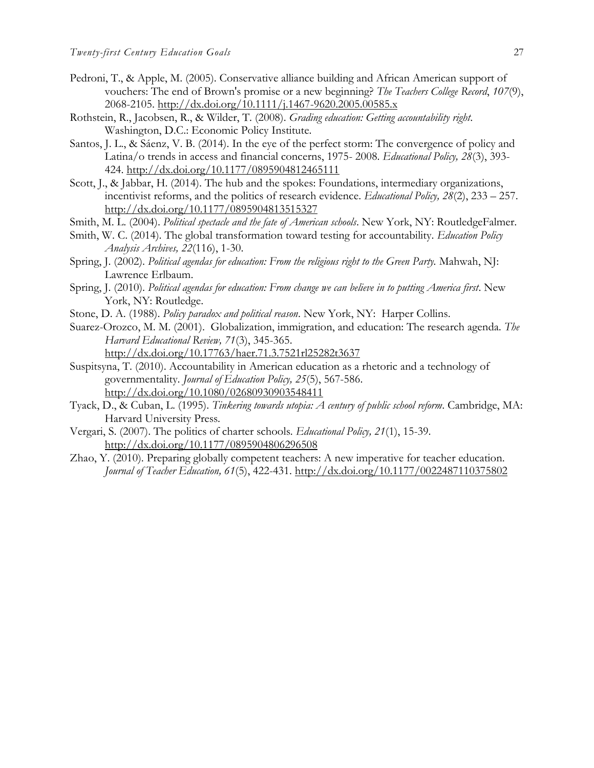- Pedroni, T., & Apple, M. (2005). Conservative alliance building and African American support of vouchers: The end of Brown's promise or a new beginning? *The Teachers College Record*, *107*(9), 2068-2105. <http://dx.doi.org/10.1111/j.1467-9620.2005.00585.x>
- Rothstein, R., Jacobsen, R., & Wilder, T. (2008). *Grading education: Getting accountability right*. Washington, D.C.: Economic Policy Institute.
- Santos, J. L., & Sáenz, V. B. (2014). In the eye of the perfect storm: The convergence of policy and Latina/o trends in access and financial concerns, 1975- 2008. *Educational Policy, 28*(3), 393- 424. <http://dx.doi.org/10.1177/0895904812465111>
- Scott, J., & Jabbar, H. (2014). The hub and the spokes: Foundations, intermediary organizations, incentivist reforms, and the politics of research evidence. *Educational Policy, 28*(2), 233 – 257. <http://dx.doi.org/10.1177/0895904813515327>
- Smith, M. L. (2004). *Political spectacle and the fate of American schools*. New York, NY: RoutledgeFalmer.
- Smith, W. C. (2014). The global transformation toward testing for accountability. *Education Policy Analysis Archives, 22*(116), 1-30.
- Spring, J. (2002). *Political agendas for education: From the religious right to the Green Party.* Mahwah, NJ: Lawrence Erlbaum.
- Spring, J. (2010). *Political agendas for education: From change we can believe in to putting America first*. New York, NY: Routledge.
- Stone, D. A. (1988). *Policy paradox and political reason*. New York, NY: Harper Collins.
- Suarez-Orozco, M. M. (2001). Globalization, immigration, and education: The research agenda. *The Harvard Educational Review, 71*(3), 345-365. <http://dx.doi.org/10.17763/haer.71.3.7521rl25282t3637>
- Suspitsyna, T. (2010). Accountability in American education as a rhetoric and a technology of governmentality. *Journal of Education Policy, 25*(5), 567-586. <http://dx.doi.org/10.1080/02680930903548411>
- Tyack, D., & Cuban, L. (1995). *Tinkering towards utopia: A century of public school reform*. Cambridge, MA: Harvard University Press.
- Vergari, S. (2007). The politics of charter schools. *Educational Policy, 21*(1), 15-39. <http://dx.doi.org/10.1177/0895904806296508>
- Zhao, Y. (2010). Preparing globally competent teachers: A new imperative for teacher education. *Journal of Teacher Education, 61*(5), 422-431. <http://dx.doi.org/10.1177/0022487110375802>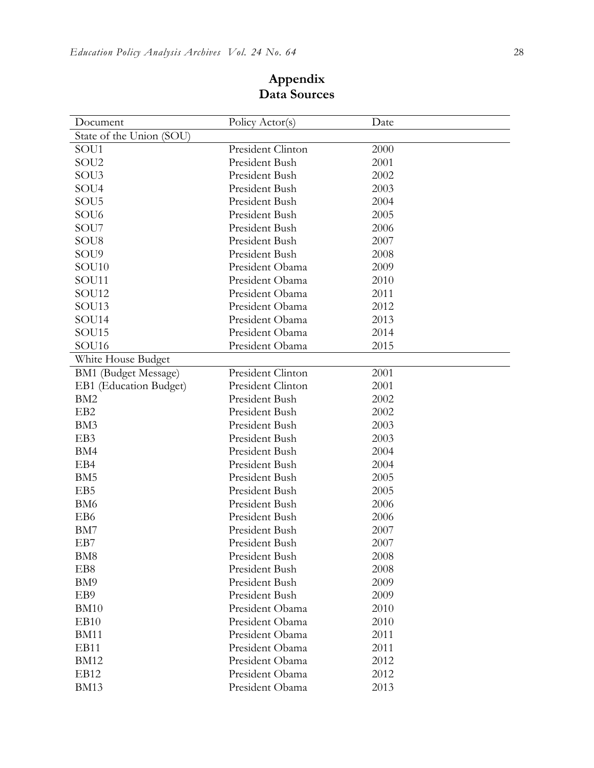| Document                 | Policy Actor(s)   | Date |
|--------------------------|-------------------|------|
| State of the Union (SOU) |                   |      |
| SOU1                     | President Clinton | 2000 |
| SOU <sub>2</sub>         | President Bush    | 2001 |
| SOU <sub>3</sub>         | President Bush    | 2002 |
| SOU <sub>4</sub>         | President Bush    | 2003 |
| SOU5                     | President Bush    | 2004 |
| SOU <sub>6</sub>         | President Bush    | 2005 |
| SOU7                     | President Bush    | 2006 |
| SOU <sub>8</sub>         | President Bush    | 2007 |
| SOU9                     | President Bush    | 2008 |
| SOU <sub>10</sub>        | President Obama   | 2009 |
| SOU11                    | President Obama   | 2010 |
| SOU12                    | President Obama   | 2011 |
| SOU13                    | President Obama   | 2012 |
| SOU14                    | President Obama   | 2013 |
| SOU15                    | President Obama   | 2014 |
| SOU <sub>16</sub>        | President Obama   | 2015 |
| White House Budget       |                   |      |
| BM1 (Budget Message)     | President Clinton | 2001 |
| EB1 (Education Budget)   | President Clinton | 2001 |
| BM <sub>2</sub>          | President Bush    | 2002 |
| EB <sub>2</sub>          | President Bush    | 2002 |
| BM3                      | President Bush    | 2003 |
| EB3                      | President Bush    | 2003 |
| BM4                      | President Bush    | 2004 |
| EB4                      | President Bush    | 2004 |
| BM <sub>5</sub>          | President Bush    | 2005 |
| EB5                      | President Bush    | 2005 |
| BM <sub>6</sub>          | President Bush    | 2006 |
| EB6                      | President Bush    | 2006 |
| BM7                      | President Bush    | 2007 |
| EB7                      | President Bush    | 2007 |
| BM <sub>8</sub>          | President Bush    | 2008 |
| EB <sub>8</sub>          | President Bush    | 2008 |
| BM <sub>9</sub>          | President Bush    | 2009 |
| EB9                      | President Bush    | 2009 |
| <b>BM10</b>              | President Obama   | 2010 |
| EB <sub>10</sub>         | President Obama   | 2010 |
| <b>BM11</b>              | President Obama   | 2011 |
| EB11                     | President Obama   | 2011 |
| <b>BM12</b>              | President Obama   | 2012 |
| EB12                     | President Obama   | 2012 |
| <b>BM13</b>              | President Obama   | 2013 |

**Appendix Data Sources**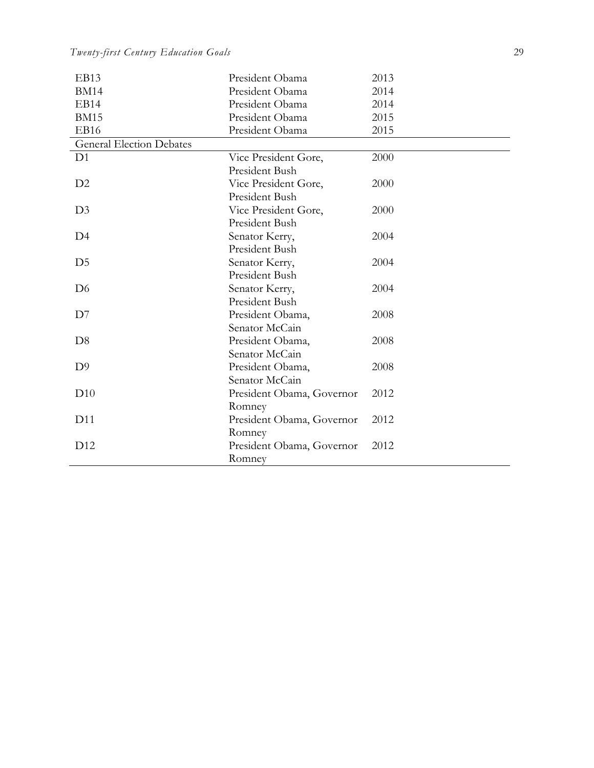*Twenty-first Century Education Goals* 29

| EB13                            | President Obama           | 2013 |
|---------------------------------|---------------------------|------|
| <b>BM14</b>                     | President Obama           | 2014 |
| EB14                            | President Obama           | 2014 |
| <b>BM15</b>                     | President Obama           | 2015 |
| EB16                            | President Obama           | 2015 |
| <b>General Election Debates</b> |                           |      |
| D <sub>1</sub>                  | Vice President Gore,      | 2000 |
|                                 | President Bush            |      |
| D2                              | Vice President Gore,      | 2000 |
|                                 | President Bush            |      |
| D <sub>3</sub>                  | Vice President Gore,      | 2000 |
|                                 | President Bush            |      |
| D4                              | Senator Kerry,            | 2004 |
|                                 | President Bush            |      |
| D <sub>5</sub>                  | Senator Kerry,            | 2004 |
|                                 | President Bush            |      |
| D <sub>6</sub>                  | Senator Kerry,            | 2004 |
|                                 | President Bush            |      |
| D7                              | President Obama,          | 2008 |
|                                 | Senator McCain            |      |
| D <sub>8</sub>                  | President Obama,          | 2008 |
|                                 | Senator McCain            |      |
| D <sub>9</sub>                  | President Obama,          | 2008 |
|                                 | Senator McCain            |      |
| D10                             | President Obama, Governor | 2012 |
|                                 | Romney                    |      |
| D11                             | President Obama, Governor | 2012 |
|                                 | Romney                    |      |
| D12                             | President Obama, Governor | 2012 |
|                                 | Romney                    |      |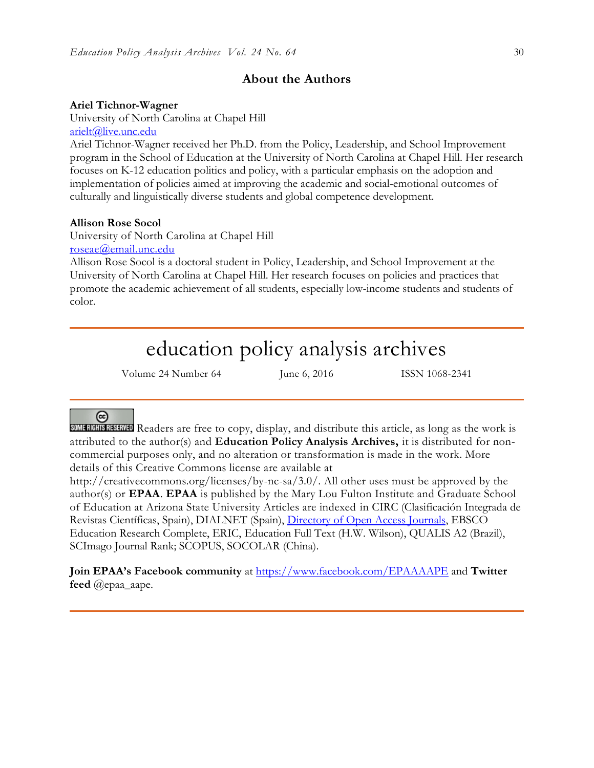## **About the Authors**

## **Ariel Tichnor-Wagner**

University of North Carolina at Chapel Hill [arielt@live.unc.edu](mailto:arielt@live.unc.edu)

Ariel Tichnor-Wagner received her Ph.D. from the Policy, Leadership, and School Improvement program in the School of Education at the University of North Carolina at Chapel Hill. Her research focuses on K-12 education politics and policy, with a particular emphasis on the adoption and implementation of policies aimed at improving the academic and social-emotional outcomes of culturally and linguistically diverse students and global competence development.

### **Allison Rose Socol**

University of North Carolina at Chapel Hill [roseae@email.unc.edu](mailto:roseae@email.unc.edu)

Allison Rose Socol is a doctoral student in Policy, Leadership, and School Improvement at the University of North Carolina at Chapel Hill. Her research focuses on policies and practices that promote the academic achievement of all students, especially low-income students and students of color.

# education policy analysis archives

Volume 24 Number 64 June 6, 2016 ISSN 1068-2341

# @

SOME READERS ARRAIGED Readers are free to copy, display, and distribute this article, as long as the work is attributed to the author(s) and **Education Policy Analysis Archives,** it is distributed for noncommercial purposes only, and no alteration or transformation is made in the work. More details of this Creative Commons license are available at

http://creativecommons.org/licenses/by-nc-sa/3.0/. All other uses must be approved by the author(s) or **EPAA**. **EPAA** is published by the Mary Lou Fulton Institute and Graduate School of Education at Arizona State University Articles are indexed in CIRC (Clasificación Integrada de Revistas Científicas, Spain), DIALNET (Spain), [Directory of Open Access Journals,](http://www.doaj.org/) EBSCO Education Research Complete, ERIC, Education Full Text (H.W. Wilson), QUALIS A2 (Brazil), SCImago Journal Rank; SCOPUS, SOCOLAR (China).

**Join EPAA's Facebook community** at<https://www.facebook.com/EPAAAAPE> and **Twitter feed** @epaa\_aape.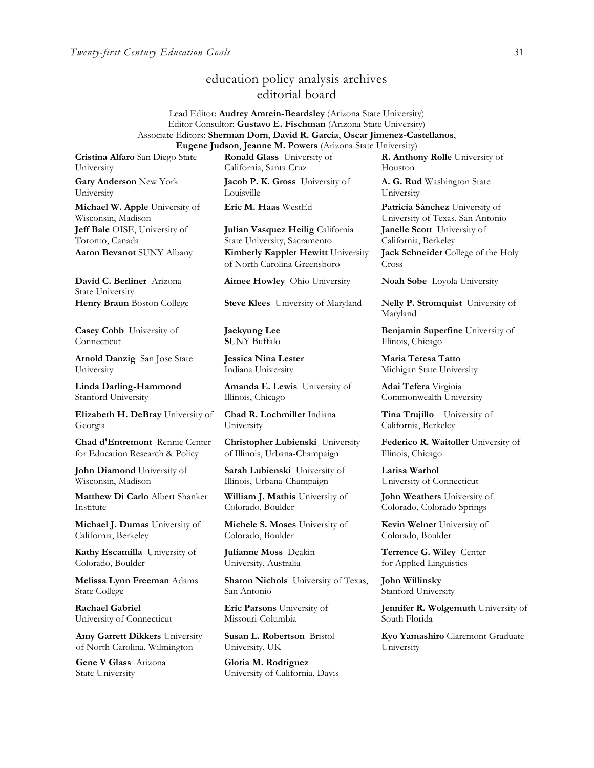## education policy analysis archives editorial board

#### Lead Editor: **Audrey Amrein-Beardsley** (Arizona State University) Editor Consultor: **Gustavo E. Fischman** (Arizona State University) Associate Editors: **Sherman Dorn**, **David R. Garcia**, **Oscar Jimenez-Castellanos**, **Eugene Judson**, **Jeanne M. Powers** (Arizona State University)

**Cristina Alfaro** San Diego State University

**Gary Anderson** New York University

**Michael W. Apple** University of Wisconsin, Madison **Jeff Bale** OISE, University of Toronto, Canada

**David C. Berliner** Arizona State University

**Casey Cobb** University of **Connecticut** 

**Arnold Danzig** San Jose State University

**Linda Darling-Hammond**  Stanford University

**Elizabeth H. DeBray** University of Georgia

**Chad d'Entremont** Rennie Center for Education Research & Policy

**John Diamond** University of Wisconsin, Madison

**Matthew Di Carlo** Albert Shanker Institute

**Michael J. Dumas** University of California, Berkeley

**Kathy Escamilla** University of Colorado, Boulder

**Melissa Lynn Freeman** Adams State College

**Rachael Gabriel** University of Connecticut

**Amy Garrett Dikkers** University of North Carolina, Wilmington

**Gene V Glass** Arizona State University

**Ronald Glass** University of California, Santa Cruz

**Jacob P. K. Gross** University of Louisville

**Julian Vasquez Heilig** California State University, Sacramento **Aaron Bevanot** SUNY Albany **Kimberly Kappler Hewitt** University of North Carolina Greensboro

**Aimee Howley** Ohio University **Noah Sobe** Loyola University

**Henry Braun** Boston College **Steve Klees** University of Maryland **Nelly P. Stromquist** University of

**Jaekyung Lee S**UNY Buffalo

**Jessica Nina Lester** Indiana University

**Amanda E. Lewis** University of Illinois, Chicago

**Chad R. Lochmiller** Indiana University

**Christopher Lubienski** University of Illinois, Urbana-Champaign

**Sarah Lubienski** University of Illinois, Urbana-Champaign

**William J. Mathis** University of Colorado, Boulder

**Michele S. Moses** University of Colorado, Boulder

**Julianne Moss** Deakin University, Australia

**Sharon Nichols** University of Texas, San Antonio

**Eric Parsons** University of Missouri-Columbia

**Susan L. Robertson** Bristol University, UK

**Gloria M. Rodriguez** University of California, Davis

**R. Anthony Rolle** University of Houston

**A. G. Rud** Washington State University

**Eric M. Haas** WestEd **Patricia Sánchez** University of University of Texas, San Antonio **Janelle Scott** University of California, Berkeley

**Jack Schneider** College of the Holy Cross

Maryland

**Benjamin Superfine** University of Illinois, Chicago

**Maria Teresa Tatto**  Michigan State University

**Adai Tefera** Virginia Commonwealth University

**Tina Trujillo** University of California, Berkeley

**Federico R. Waitoller** University of Illinois, Chicago

**Larisa Warhol** University of Connecticut

**John Weathers** University of Colorado, Colorado Springs

**Kevin Welner** University of Colorado, Boulder

**Terrence G. Wiley** Center for Applied Linguistics

**John Willinsky**  Stanford University

**Jennifer R. Wolgemuth** University of South Florida

**Kyo Yamashiro** Claremont Graduate University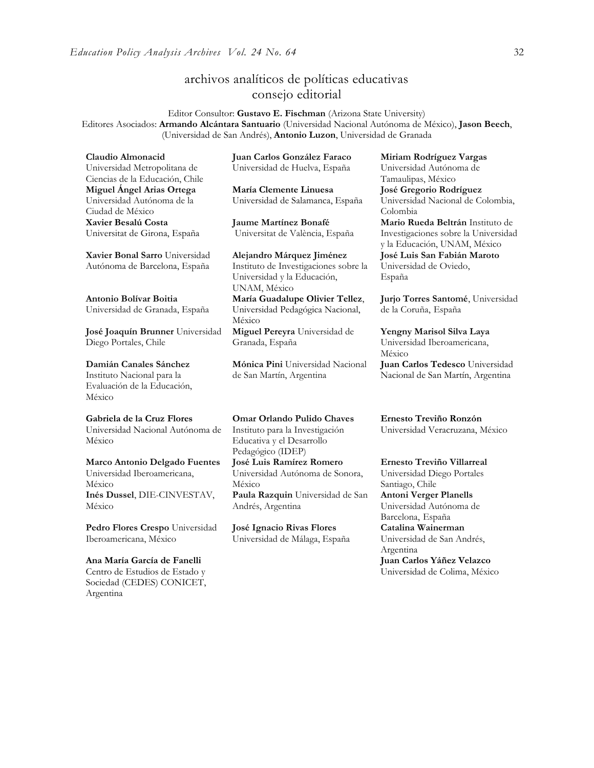## archivos analíticos de políticas educativas consejo editorial

Editor Consultor: **Gustavo E. Fischman** (Arizona State University) Editores Asociados: **Armando Alcántara Santuario** (Universidad Nacional Autónoma de México), **Jason Beech**, (Universidad de San Andrés), **Antonio Luzon**, Universidad de Granada

**Claudio Almonacid**

Universidad Metropolitana de Ciencias de la Educación, Chile **Miguel Ángel Arias Ortega**  Universidad Autónoma de la Ciudad de México **Xavier Besalú Costa**  Universitat de Girona, España

**[Xavier Bonal](javascript:openRTWindow() Sarro** Universidad Autónoma de Barcelona, España

**[Antonio Bolívar](javascript:openRTWindow() Boitia** Universidad de Granada, España

**[José Joaquín Brunner](javascript:openRTWindow()** Universidad Diego Portales, Chile

**[Damián Canales Sánchez](javascript:openRTWindow()** Instituto Nacional para la Evaluación de la Educación,

México

**Gabriela de la Cruz Flores** Universidad Nacional Autónoma de México

**[Marco Antonio Delgado Fuentes](javascript:openRTWindow()** Universidad Iberoamericana, México **[Inés Dussel](javascript:openRTWindow()**, DIE-CINVESTAV, México

**[Pedro Flores Crespo](javascript:openRTWindow()** Universidad Iberoamericana, México

**Ana María García de Fanelli**  Centro de Estudios de Estado y Sociedad (CEDES) CONICET, Argentina

**Juan Carlos González Faraco**  Universidad de Huelva, España

**María Clemente Linuesa**  Universidad de Salamanca, España

**Jaume Martínez Bonafé** Universitat de València, España

**Alejandro Márquez Jiménez**  Instituto de Investigaciones sobre la Universidad y la Educación, UNAM, México **María Guadalupe Olivier Tellez**, Universidad Pedagógica Nacional, México

**[Miguel Pereyra](javascript:openRTWindow()** Universidad de Granada, España

**[Mónica Pini](javascript:openRTWindow()** Universidad Nacional de San Martín, Argentina

**Omar Orlando Pulido Chaves** Instituto para la Investigación Educativa y el Desarrollo Pedagógico (IDEP) **[José Luis Ramírez](javascript:openRTWindow() Romero** Universidad Autónoma de Sonora, México **[Paula Razquin](javascript:openRTWindow()** Universidad de San Andrés, Argentina

**José Ignacio Rivas Flores** Universidad de Málaga, España **[Miriam Rodríguez Vargas](javascript:openRTWindow()** Universidad Autónoma de Tamaulipas, México **José Gregorio Rodríguez**  Universidad Nacional de Colombia, Colombia **[Mario Rueda Beltrán](javascript:openRTWindow()** Instituto de Investigaciones sobre la Universidad y la Educación, UNAM, México **José Luis San Fabián Maroto**  Universidad de Oviedo, España

**[Jurjo Torres Santomé](javascript:openRTWindow()**, Universidad de la Coruña, España

**[Yengny Marisol Silva Laya](javascript:openRTWindow()** Universidad Iberoamericana, México **Juan Carlos Tedesco** Universidad Nacional de San Martín, Argentina

**Ernesto Treviño Ronzón** Universidad Veracruzana, México

**[Ernesto Treviño](javascript:openRTWindow() Villarreal** Universidad Diego Portales Santiago, Chile **[Antoni Verger Planells](javascript:openRTWindow()** Universidad Autónoma de Barcelona, España **[Catalina Wainerman](javascript:openRTWindow()** Universidad de San Andrés, Argentina **Juan Carlos Yáñez Velazco** Universidad de Colima, México